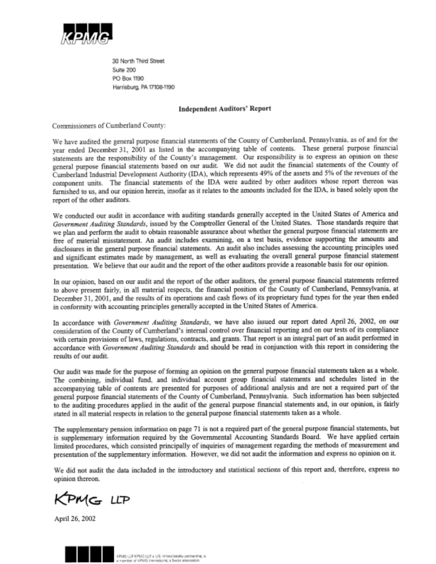

30 North Third Street Suite 200 PO Box 1190 Harrisburg, PA 17108-1190

#### **Independent Auditors' Report**

Commissioners of Cumberland County:

We have audited the general purpose financial statements of the County of Cumberland, Pennsylvania, as of and for the year ended December 31, 2001 as listed in the accompanying table of contents. These general purpose financial statements are the responsibility of the County's management. Our responsibility is to express an opinion on these general purpose financial statements based on our audit. We did not audit the financial statements of the County of Cumberland Industrial Development Authority (IDA), which represents 49% of the assets and 5% of the revenues of the component units. The financial statements of the IDA were audited by other auditors whose report thereon was furnished to us, and our opinion herein, insofar as it relates to the amounts included for the IDA, is based solely upon the report of the other auditors.

We conducted our audit in accordance with auditing standards generally accepted in the United States of America and Government Auditing Standards, issued by the Comptroller General of the United States. Those standards require that we plan and perform the audit to obtain reasonable assurance about whether the general purpose financial statements are free of material misstatement. An audit includes examining, on a test basis, evidence supporting the amounts and disclosures in the general purpose financial statements. An audit also includes assessing the accounting principles used and significant estimates made by management, as well as evaluating the overall general purpose financial statement presentation. We believe that our audit and the report of the other auditors provide a reasonable basis for our opinion.

In our opinion, based on our audit and the report of the other auditors, the general purpose financial statements referred to above present fairly, in all material respects, the financial position of the County of Cumberland, Pennsylvania, at December 31, 2001, and the results of its operations and cash flows of its proprietary fund types for the year then ended in conformity with accounting principles generally accepted in the United States of America.

In accordance with Government Auditing Standards, we have also issued our report dated April 26, 2002, on our consideration of the County of Cumberland's internal control over financial reporting and on our tests of its compliance with certain provisions of laws, regulations, contracts, and grants. That report is an integral part of an audit performed in accordance with Government Auditing Standards and should be read in conjunction with this report in considering the results of our audit.

Our audit was made for the purpose of forming an opinion on the general purpose financial statements taken as a whole. The combining, individual fund, and individual account group financial statements and schedules listed in the accompanying table of contents are presented for purposes of additional analysis and are not a required part of the general purpose financial statements of the County of Cumberland, Pennsylvania. Such information has been subjected to the auditing procedures applied in the audit of the general purpose financial statements and, in our opinion, is fairly stated in all material respects in relation to the general purpose financial statements taken as a whole.

The supplementary pension information on page 71 is not a required part of the general purpose financial statements, but is supplementary information required by the Governmental Accounting Standards Board. We have applied certain limited procedures, which consisted principally of inquiries of management regarding the methods of measurement and presentation of the supplementary information. However, we did not audit the information and express no opinion on it.

We did not audit the data included in the introductory and statistical sections of this report and, therefore, express no opinion thereon.

**PMG LLP** 

April 26, 2002



KPMS LLP KPMS LLP a US. Imited liability partnership, in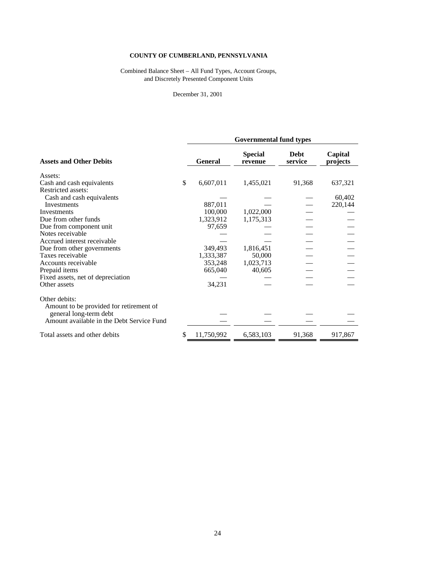#### Combined Balance Sheet – All Fund Types, Account Groups, and Discretely Presented Component Units

December 31, 2001

|                                                                   | <b>Governmental fund types</b> |                |                           |                        |                     |  |  |  |
|-------------------------------------------------------------------|--------------------------------|----------------|---------------------------|------------------------|---------------------|--|--|--|
| <b>Assets and Other Debits</b>                                    |                                | <b>General</b> | <b>Special</b><br>revenue | <b>Debt</b><br>service | Capital<br>projects |  |  |  |
| Assets:                                                           |                                |                |                           |                        |                     |  |  |  |
| Cash and cash equivalents                                         | S                              | 6,607,011      | 1,455,021                 | 91,368                 | 637,321             |  |  |  |
| <b>Restricted assets:</b>                                         |                                |                |                           |                        |                     |  |  |  |
| Cash and cash equivalents                                         |                                |                |                           |                        | 60,402              |  |  |  |
| <b>Investments</b>                                                |                                | 887,011        |                           |                        | 220,144             |  |  |  |
| Investments                                                       |                                | 100,000        | 1,022,000                 |                        |                     |  |  |  |
| Due from other funds                                              |                                | 1,323,912      | 1,175,313                 |                        |                     |  |  |  |
| Due from component unit                                           |                                | 97,659         |                           |                        |                     |  |  |  |
| Notes receivable                                                  |                                |                |                           |                        |                     |  |  |  |
| Accrued interest receivable                                       |                                |                |                           |                        |                     |  |  |  |
| Due from other governments                                        |                                | 349,493        | 1,816,451                 |                        |                     |  |  |  |
| Taxes receivable                                                  |                                | 1,333,387      | 50,000                    |                        |                     |  |  |  |
| Accounts receivable                                               |                                | 353,248        | 1,023,713                 |                        |                     |  |  |  |
| Prepaid items                                                     |                                | 665,040        | 40,605                    |                        |                     |  |  |  |
| Fixed assets, net of depreciation                                 |                                |                |                           |                        |                     |  |  |  |
| Other assets                                                      |                                | 34,231         |                           |                        |                     |  |  |  |
| Other debits:                                                     |                                |                |                           |                        |                     |  |  |  |
| Amount to be provided for retirement of<br>general long-term debt |                                |                |                           |                        |                     |  |  |  |
| Amount available in the Debt Service Fund                         |                                |                |                           |                        |                     |  |  |  |
| Total assets and other debits                                     | S                              | 11,750,992     | 6,583,103                 | 91,368                 | 917,867             |  |  |  |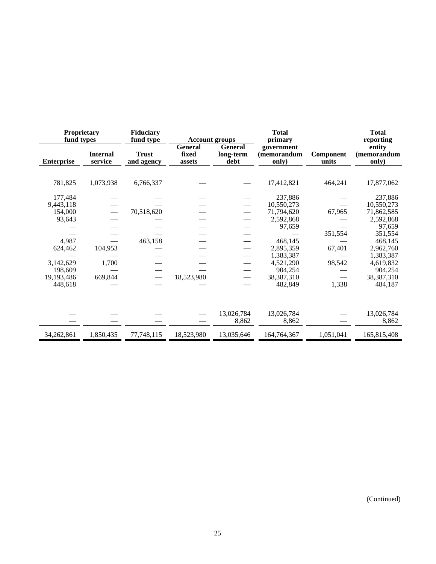| <b>Proprietary</b><br>fund types |                            | <b>Fiduciary</b><br>fund type | <b>Account groups</b>             |                              | <b>Total</b><br>primary            |                    | <b>Total</b><br>reporting      |
|----------------------------------|----------------------------|-------------------------------|-----------------------------------|------------------------------|------------------------------------|--------------------|--------------------------------|
| <b>Enterprise</b>                | <b>Internal</b><br>service | <b>Trust</b><br>and agency    | <b>General</b><br>fixed<br>assets | General<br>long-term<br>debt | government<br>(memorandum<br>only) | Component<br>units | entity<br>(memorandum<br>only) |
|                                  |                            |                               |                                   |                              |                                    |                    |                                |
| 781,825                          | 1,073,938                  | 6,766,337                     |                                   |                              | 17,412,821                         | 464,241            | 17,877,062                     |
| 177,484                          |                            |                               |                                   |                              | 237,886                            |                    | 237,886                        |
| 9,443,118                        |                            |                               |                                   |                              | 10,550,273                         |                    | 10,550,273                     |
| 154,000                          |                            | 70,518,620                    |                                   |                              | 71,794,620                         | 67,965             | 71,862,585                     |
| 93,643                           |                            |                               |                                   |                              | 2,592,868                          |                    | 2,592,868                      |
|                                  |                            |                               |                                   |                              | 97,659                             |                    | 97,659                         |
|                                  |                            |                               |                                   |                              |                                    | 351,554            | 351,554                        |
| 4,987                            |                            | 463,158                       |                                   |                              | 468,145                            |                    | 468,145                        |
| 624,462                          | 104,953                    |                               |                                   |                              | 2,895,359                          | 67,401             | 2,962,760                      |
|                                  |                            |                               |                                   |                              | 1,383,387                          |                    | 1,383,387                      |
| 3,142,629                        | 1,700                      |                               |                                   |                              | 4,521,290                          | 98,542             | 4,619,832                      |
| 198,609                          |                            |                               |                                   |                              | 904,254                            |                    | 904,254                        |
| 19,193,486                       | 669,844                    |                               | 18,523,980                        |                              | 38,387,310                         |                    | 38, 387, 310                   |
| 448,618                          |                            |                               |                                   |                              | 482,849                            | 1,338              | 484,187                        |
|                                  |                            |                               |                                   | 13,026,784                   | 13,026,784                         |                    | 13,026,784                     |
|                                  |                            |                               |                                   | 8,862                        | 8,862                              |                    | 8,862                          |
| 34,262,861                       | 1,850,435                  | 77,748,115                    | 18,523,980                        | 13,035,646                   | 164,764,367                        | 1,051,041          | 165,815,408                    |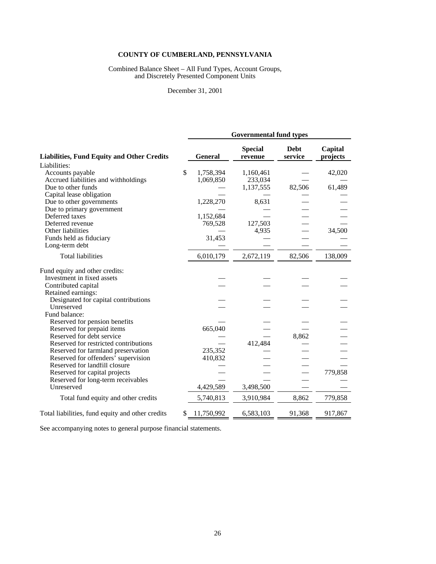Combined Balance Sheet – All Fund Types, Account Groups, and Discretely Presented Component Units

December 31, 2001

|                                                   |              |            | <b>Governmental fund types</b> |                        |                     |
|---------------------------------------------------|--------------|------------|--------------------------------|------------------------|---------------------|
| <b>Liabilities, Fund Equity and Other Credits</b> |              | General    | <b>Special</b><br>revenue      | <b>Debt</b><br>service | Capital<br>projects |
| Liabilities:                                      |              |            |                                |                        |                     |
| Accounts payable                                  | $\mathbb{S}$ | 1,758,394  | 1,160,461                      |                        | 42,020              |
| Accrued liabilities and withholdings              |              | 1,069,850  | 233,034                        |                        |                     |
| Due to other funds                                |              |            | 1,137,555                      | 82,506                 | 61,489              |
| Capital lease obligation                          |              |            |                                |                        |                     |
| Due to other governments                          |              | 1,228,270  | 8,631                          |                        |                     |
| Due to primary government                         |              |            |                                |                        |                     |
| Deferred taxes                                    |              | 1,152,684  |                                |                        |                     |
| Deferred revenue                                  |              | 769,528    | 127,503                        |                        |                     |
| Other liabilities                                 |              |            | 4,935                          |                        | 34,500              |
| Funds held as fiduciary                           |              | 31,453     |                                |                        |                     |
| Long-term debt                                    |              |            |                                |                        |                     |
| <b>Total liabilities</b>                          |              | 6,010,179  | 2,672,119                      | 82,506                 | 138,009             |
| Fund equity and other credits:                    |              |            |                                |                        |                     |
| Investment in fixed assets                        |              |            |                                |                        |                     |
| Contributed capital                               |              |            |                                |                        |                     |
| Retained earnings:                                |              |            |                                |                        |                     |
| Designated for capital contributions              |              |            |                                |                        |                     |
| Unreserved                                        |              |            |                                |                        |                     |
| Fund balance:                                     |              |            |                                |                        |                     |
| Reserved for pension benefits                     |              |            |                                |                        |                     |
| Reserved for prepaid items                        |              | 665,040    |                                |                        |                     |
| Reserved for debt service                         |              |            |                                | 8,862                  |                     |
| Reserved for restricted contributions             |              |            | 412,484                        |                        |                     |
| Reserved for farmland preservation                |              | 235,352    |                                |                        |                     |
| Reserved for offenders' supervision               |              | 410,832    |                                |                        |                     |
| Reserved for landfill closure                     |              |            |                                |                        |                     |
| Reserved for capital projects                     |              |            |                                |                        | 779,858             |
| Reserved for long-term receivables                |              |            |                                |                        |                     |
| Unreserved                                        |              | 4,429,589  | 3,498,500                      |                        |                     |
| Total fund equity and other credits               |              | 5,740,813  | 3,910,984                      | 8,862                  | 779,858             |
| Total liabilities, fund equity and other credits  | \$           | 11,750,992 | 6,583,103                      | 91,368                 | 917,867             |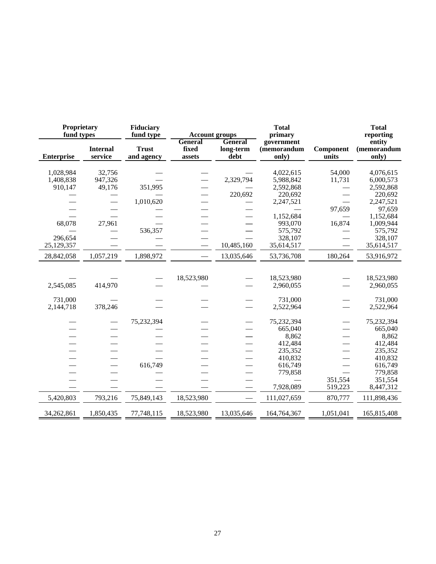| Proprietary<br>fund types |                            | <b>Fiduciary</b><br>fund type | <b>Account groups</b>             |                                     | <b>Total</b><br>primary            |                          | <b>Total</b><br>reporting      |
|---------------------------|----------------------------|-------------------------------|-----------------------------------|-------------------------------------|------------------------------------|--------------------------|--------------------------------|
| <b>Enterprise</b>         | <b>Internal</b><br>service | <b>Trust</b><br>and agency    | <b>General</b><br>fixed<br>assets | <b>General</b><br>long-term<br>debt | government<br>(memorandum<br>only) | Component<br>units       | entity<br>(memorandum<br>only) |
| 1,028,984<br>1,408,838    | 32,756<br>947,326          |                               |                                   | 2,329,794                           | 4,022,615<br>5,988,842             | 54,000<br>11,731         | 4,076,615<br>6,000,573         |
| 910,147                   | 49,176                     | 351,995                       |                                   |                                     | 2,592,868                          |                          | 2,592,868                      |
|                           |                            | 1,010,620                     |                                   | 220,692                             | 220,692<br>2,247,521               | $\overline{\phantom{0}}$ | 220,692<br>2,247,521           |
|                           |                            |                               |                                   |                                     | 1,152,684                          | 97,659                   | 97,659<br>1,152,684            |
| 68,078                    | 27,961                     | 536,357                       |                                   |                                     | 993,070<br>575,792                 | 16,874                   | 1,009,944<br>575,792           |
| 296,654<br>25,129,357     |                            |                               |                                   | 10,485,160                          | 328,107<br>35,614,517              | $\overline{\phantom{0}}$ | 328,107<br>35,614,517          |
| 28,842,058                | 1,057,219                  | 1,898,972                     |                                   | 13,035,646                          | 53,736,708                         | 180,264                  | 53,916,972                     |
|                           |                            |                               | 18,523,980                        |                                     | 18,523,980                         |                          | 18,523,980                     |
| 2,545,085                 | 414,970                    |                               |                                   |                                     | 2,960,055                          |                          | 2,960,055                      |
| 731,000<br>2,144,718      | 378,246                    |                               |                                   | $\overline{\phantom{0}}$            | 731,000<br>2,522,964               | $\overline{\phantom{0}}$ | 731,000<br>2,522,964           |
|                           |                            | 75,232,394                    |                                   | $\overline{\phantom{0}}$            | 75,232,394                         | $\overline{\phantom{0}}$ | 75,232,394                     |
|                           |                            |                               |                                   |                                     | 665,040<br>8,862                   |                          | 665,040<br>8,862               |
|                           |                            |                               |                                   |                                     | 412,484<br>235,352                 |                          | 412,484<br>235,352             |
|                           |                            | 616,749                       |                                   |                                     | 410,832<br>616,749                 |                          | 410,832<br>616,749             |
|                           |                            |                               |                                   |                                     | 779,858                            | 351,554                  | 779,858<br>351,554             |
| 5,420,803                 | 793,216                    | 75,849,143                    | 18,523,980                        |                                     | 7,928,089<br>111,027,659           | 519,223<br>870,777       | 8,447,312<br>111,898,436       |
| 34,262,861                | 1,850,435                  | 77,748,115                    | 18,523,980                        | 13,035,646                          | 164,764,367                        | 1,051,041                | 165,815,408                    |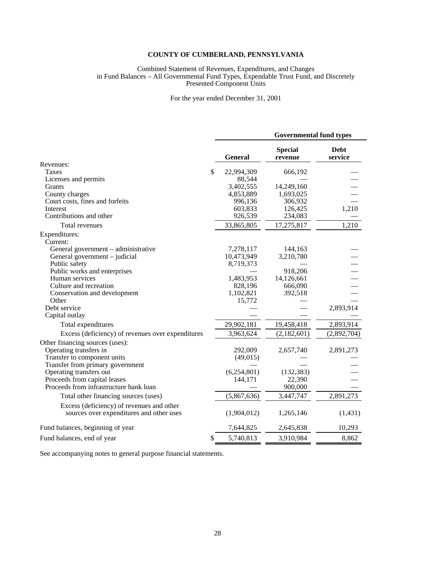#### Combined Statement of Revenues, Expenditures, and Changes in Fund Balances – All Governmental Fund Types, Expendable Trust Fund, and Discretely Presented Component Units

For the year ended December 31, 2001

|                                                                                       |              |                        | <b>Governmental fund types</b> |                        |
|---------------------------------------------------------------------------------------|--------------|------------------------|--------------------------------|------------------------|
|                                                                                       |              | <b>General</b>         | <b>Special</b><br>revenue      | <b>Debt</b><br>service |
| Revenues:                                                                             | $\mathbb{S}$ |                        |                                |                        |
| Taxes                                                                                 |              | 22,994,309             | 666,192                        |                        |
| Licenses and permits                                                                  |              | 88,544                 | 14,249,160                     |                        |
| Grants<br>County charges                                                              |              | 3,402,555<br>4,853,889 | 1,693,025                      |                        |
| Court costs, fines and forfeits                                                       |              | 996,136                | 306,932                        |                        |
| Interest                                                                              |              | 603,833                | 126,425                        | 1,210                  |
| Contributions and other                                                               |              | 926,539                | 234,083                        |                        |
| Total revenues                                                                        |              | 33,865,805             | 17,275,817                     | 1,210                  |
| Expenditures:                                                                         |              |                        |                                |                        |
| Current:                                                                              |              |                        |                                |                        |
| General government – administrative                                                   |              | 7,278,117              | 144,163                        |                        |
| General government - judicial                                                         |              | 10,473,949             | 3,210,780                      |                        |
| Public safety                                                                         |              | 8,719,373              |                                |                        |
| Public works and enterprises                                                          |              |                        | 918,206                        |                        |
| Human services                                                                        |              | 1,483,953              | 14,126,661                     |                        |
| Culture and recreation                                                                |              | 828,196                | 666,090                        |                        |
| Conservation and development                                                          |              | 1,102,821              | 392,518                        |                        |
| Other                                                                                 |              | 15,772                 |                                |                        |
| Debt service                                                                          |              |                        |                                | 2,893,914              |
| Capital outlay                                                                        |              |                        |                                |                        |
| Total expenditures                                                                    |              | 29,902,181             | 19,458,418                     | 2,893,914              |
| Excess (deficiency) of revenues over expenditures                                     |              | 3,963,624              | (2,182,601)                    | (2,892,704)            |
| Other financing sources (uses):                                                       |              |                        |                                |                        |
| Operating transfers in                                                                |              | 292,009                | 2,657,740                      | 2,891,273              |
| Transfer to component units                                                           |              | (49, 015)              |                                |                        |
| Transfer from primary government                                                      |              |                        |                                |                        |
| Operating transfers out                                                               |              | (6,254,801)            | (132, 383)                     |                        |
| Proceeds from capital leases                                                          |              | 144,171                | 22,390                         |                        |
| Proceeds from infrastructure bank loan                                                |              |                        | 900,000                        |                        |
| Total other financing sources (uses)                                                  |              | (5,867,636)            | 3,447,747                      | 2,891,273              |
| Excess (deficiency) of revenues and other<br>sources over expenditures and other uses |              | (1,904,012)            | 1,265,146                      | (1, 431)               |
| Fund balances, beginning of year                                                      |              | 7,644,825              | 2,645,838                      | 10,293                 |
| Fund balances, end of year                                                            | \$           | 5,740,813              | 3,910,984                      | 8,862                  |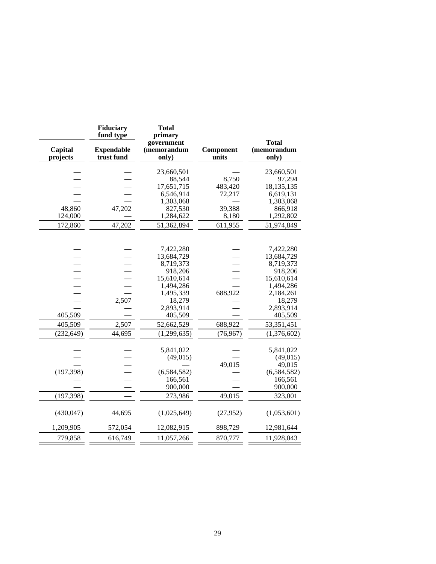| Capital<br>projects | <b>Fiduciary</b><br>fund type<br><b>Expendable</b><br>trust fund | <b>Total</b><br>primary<br>government<br>(memorandum<br>only) | Component<br>units | <b>Total</b><br>(memorandum<br>only) |
|---------------------|------------------------------------------------------------------|---------------------------------------------------------------|--------------------|--------------------------------------|
|                     |                                                                  | 23,660,501                                                    |                    | 23,660,501                           |
|                     |                                                                  | 88,544                                                        | 8,750              | 97,294                               |
|                     |                                                                  | 17,651,715                                                    | 483,420            | 18,135,135                           |
|                     |                                                                  | 6,546,914                                                     | 72,217             | 6,619,131                            |
|                     |                                                                  | 1,303,068                                                     |                    | 1,303,068                            |
| 48,860              | 47,202                                                           | 827,530                                                       | 39,388             | 866,918                              |
| 124,000             |                                                                  | 1,284,622                                                     | 8,180              | 1,292,802                            |
| 172,860             | 47,202                                                           | 51,362,894                                                    | 611,955            | 51,974,849                           |
|                     |                                                                  |                                                               |                    |                                      |
|                     |                                                                  | 7,422,280                                                     |                    | 7,422,280                            |
|                     |                                                                  | 13,684,729                                                    |                    | 13,684,729                           |
|                     |                                                                  | 8,719,373                                                     |                    | 8,719,373                            |
|                     |                                                                  | 918,206                                                       |                    | 918,206                              |
|                     |                                                                  | 15,610,614                                                    |                    | 15,610,614                           |
|                     |                                                                  | 1,494,286                                                     |                    | 1,494,286                            |
|                     |                                                                  | 1,495,339                                                     | 688,922            | 2,184,261                            |
|                     | 2,507                                                            | 18,279                                                        |                    | 18,279                               |
|                     |                                                                  | 2,893,914                                                     |                    | 2,893,914                            |
| 405,509             |                                                                  | 405,509                                                       |                    | 405,509                              |
| 405,509             | 2,507                                                            | 52,662,529                                                    | 688,922            | 53,351,451                           |
| (232, 649)          | 44,695                                                           | (1,299,635)                                                   | (76, 967)          | (1,376,602)                          |
|                     |                                                                  |                                                               |                    |                                      |
|                     |                                                                  | 5,841,022                                                     |                    | 5,841,022                            |
|                     |                                                                  | (49, 015)                                                     | 49,015             | (49,015)                             |
| (197, 398)          |                                                                  | (6,584,582)                                                   |                    | 49,015<br>(6,584,582)                |
|                     |                                                                  | 166,561                                                       |                    | 166,561                              |
|                     |                                                                  | 900,000                                                       |                    | 900,000                              |
| (197, 398)          |                                                                  | 273,986                                                       | 49,015             | 323,001                              |
|                     |                                                                  |                                                               |                    |                                      |
| (430, 047)          | 44,695                                                           | (1,025,649)                                                   | (27, 952)          | (1,053,601)                          |
| 1,209,905           | 572,054                                                          | 12,082,915                                                    | 898,729            | 12,981,644                           |
| 779,858             | 616,749                                                          | 11,057,266                                                    | 870,777            | 11,928,043                           |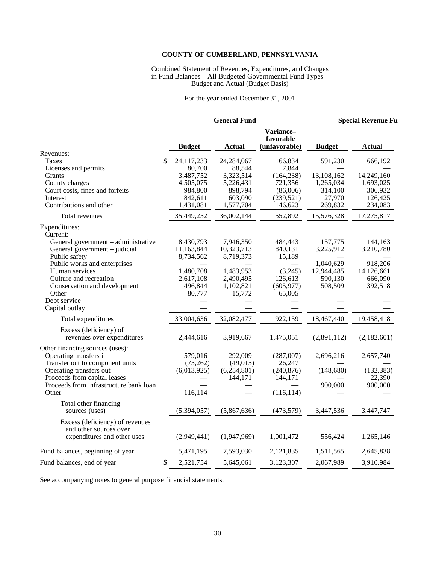Combined Statement of Revenues, Expenditures, and Changes in Fund Balances – All Budgeted Governmental Fund Types – Budget and Actual (Budget Basis)

## For the year ended December 31, 2001

|                                                                                                                   |                                                           | <b>General Fund</b>                                       | <b>Special Revenue Full</b>                                |                                                         |                                                          |
|-------------------------------------------------------------------------------------------------------------------|-----------------------------------------------------------|-----------------------------------------------------------|------------------------------------------------------------|---------------------------------------------------------|----------------------------------------------------------|
|                                                                                                                   | <b>Budget</b>                                             | <b>Actual</b>                                             | Variance-<br>favorable<br>(unfavorable)                    | <b>Budget</b>                                           | <b>Actual</b>                                            |
| Revenues:<br>Taxes<br>\$<br>Licenses and permits                                                                  | 24,117,233<br>80,700                                      | 24,284,067<br>88,544                                      | 166,834<br>7,844                                           | 591,230                                                 | 666,192                                                  |
| Grants<br>County charges<br>Court costs, fines and forfeits<br>Interest<br>Contributions and other                | 3,487,752<br>4,505,075<br>984,800<br>842,611<br>1,431,081 | 3,323,514<br>5,226,431<br>898,794<br>603,090<br>1,577,704 | (164, 238)<br>721,356<br>(86,006)<br>(239, 521)<br>146,623 | 13,108,162<br>1,265,034<br>314,100<br>27,970<br>269,832 | 14,249,160<br>1,693,025<br>306,932<br>126,425<br>234,083 |
| Total revenues                                                                                                    | 35,449,252                                                | 36,002,144                                                | 552,892                                                    | 15,576,328                                              | 17,275,817                                               |
| Expenditures:<br>Current:                                                                                         |                                                           |                                                           |                                                            |                                                         |                                                          |
| General government – administrative<br>General government - judicial<br>Public safety                             | 8,430,793<br>11,163,844<br>8,734,562                      | 7,946,350<br>10,323,713<br>8,719,373                      | 484,443<br>840,131<br>15,189                               | 157,775<br>3,225,912                                    | 144,163<br>3,210,780                                     |
| Public works and enterprises<br>Human services<br>Culture and recreation<br>Conservation and development<br>Other | 1,480,708<br>2,617,108<br>496,844<br>80,777               | 1,483,953<br>2,490,495<br>1,102,821<br>15,772             | (3,245)<br>126,613<br>(605, 977)<br>65,005                 | 1,040,629<br>12,944,485<br>590,130<br>508,509           | 918,206<br>14,126,661<br>666,090<br>392,518              |
| Debt service<br>Capital outlay                                                                                    |                                                           |                                                           |                                                            |                                                         |                                                          |
| Total expenditures                                                                                                | 33,004,636                                                | 32,082,477                                                | 922,159                                                    | 18,467,440                                              | 19,458,418                                               |
| Excess (deficiency) of<br>revenues over expenditures                                                              | 2,444,616                                                 | 3,919,667                                                 | 1,475,051                                                  | (2,891,112)                                             | (2,182,601)                                              |
| Other financing sources (uses):<br>Operating transfers in<br>Transfer out to component units                      | 579,016<br>(75,262)                                       | 292,009<br>(49, 015)                                      | (287,007)<br>26,247                                        | 2,696,216                                               | 2,657,740                                                |
| Operating transfers out<br>Proceeds from capital leases<br>Proceeds from infrastructure bank loan<br>Other        | (6,013,925)<br>116,114                                    | (6,254,801)<br>144,171                                    | (240, 876)<br>144,171<br>(116, 114)                        | (148, 680)<br>900,000                                   | (132, 383)<br>22,390<br>900,000                          |
| Total other financing<br>sources (uses)                                                                           | (5,394,057)                                               | (5,867,636)                                               | (473, 579)                                                 | 3,447,536                                               | 3,447,747                                                |
| Excess (deficiency) of revenues<br>and other sources over<br>expenditures and other uses                          | (2,949,441)                                               | (1,947,969)                                               | 1,001,472                                                  | 556,424                                                 | 1,265,146                                                |
| Fund balances, beginning of year                                                                                  | 5,471,195                                                 | 7,593,030                                                 | 2,121,835                                                  | 1,511,565                                               | 2,645,838                                                |
| \$<br>Fund balances, end of year                                                                                  | 2,521,754                                                 | 5,645,061                                                 | 3,123,307                                                  | 2,067,989                                               | 3,910,984                                                |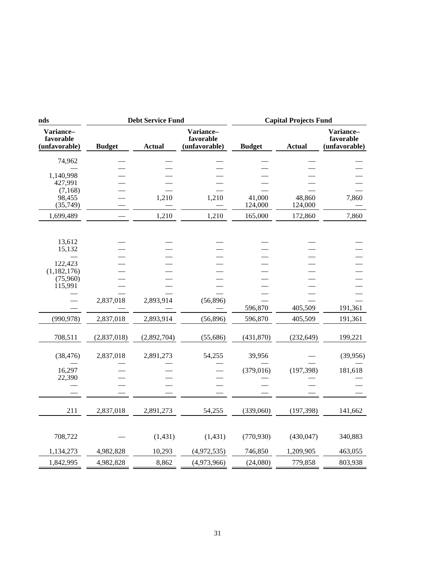| nds                                     |               | <b>Debt Service Fund</b> |                                         | <b>Capital Projects Fund</b> |                   |                                         |
|-----------------------------------------|---------------|--------------------------|-----------------------------------------|------------------------------|-------------------|-----------------------------------------|
| Variance-<br>favorable<br>(unfavorable) | <b>Budget</b> | <b>Actual</b>            | Variance-<br>favorable<br>(unfavorable) | <b>Budget</b>                | <b>Actual</b>     | Variance-<br>favorable<br>(unfavorable) |
| 74,962                                  |               |                          |                                         |                              |                   |                                         |
| 1,140,998                               |               |                          |                                         |                              |                   |                                         |
| 427,991                                 |               |                          |                                         |                              |                   |                                         |
| (7,168)<br>98,455<br>(35,749)           |               | 1,210                    | 1,210                                   | 41,000<br>124,000            | 48,860<br>124,000 | 7,860                                   |
| 1,699,489                               |               | 1,210                    | 1,210                                   | 165,000                      | 172,860           | 7,860                                   |
| 13,612                                  |               |                          |                                         |                              |                   |                                         |
| 15,132                                  |               |                          |                                         |                              |                   |                                         |
| 122,423                                 |               |                          |                                         |                              |                   |                                         |
| (1,182,176)                             |               |                          |                                         |                              |                   |                                         |
| (75,960)<br>115,991                     |               |                          |                                         |                              |                   |                                         |
|                                         | 2,837,018     | 2,893,914                | (56,896)                                |                              |                   |                                         |
|                                         |               |                          |                                         | 596,870                      | 405,509           | 191,361                                 |
| (990, 978)                              | 2,837,018     | 2,893,914                | (56, 896)                               | 596,870                      | 405,509           | 191,361                                 |
| 708,511                                 | (2,837,018)   | (2,892,704)              | (55,686)                                | (431, 870)                   | (232, 649)        | 199,221                                 |
| (38, 476)                               | 2,837,018     | 2,891,273                | 54,255                                  | 39,956                       |                   | (39,956)                                |
| 16,297<br>22,390                        |               |                          |                                         | (379, 016)                   | (197, 398)        | 181,618                                 |
|                                         |               |                          |                                         |                              |                   |                                         |
| 211                                     | 2,837,018     | 2,891,273                | 54,255                                  | (339,060)                    | (197, 398)        | 141,662                                 |
|                                         |               |                          |                                         |                              |                   |                                         |
| 708,722                                 |               | (1, 431)                 | (1, 431)                                | (770, 930)                   | (430, 047)        | 340,883                                 |
| 1,134,273                               | 4,982,828     | 10,293                   | (4,972,535)                             | 746,850                      | 1,209,905         | 463,055                                 |
| 1,842,995                               | 4,982,828     | 8,862                    | (4,973,966)                             | (24,080)                     | 779,858           | 803,938                                 |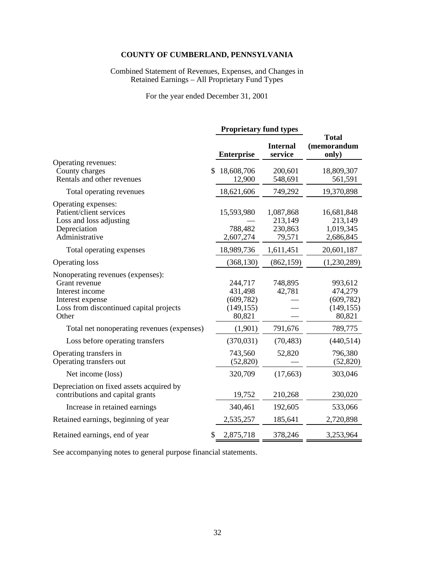#### Combined Statement of Revenues, Expenses, and Changes in Retained Earnings – All Proprietary Fund Types

For the year ended December 31, 2001

|                                                                                                                                               | <b>Proprietary fund types</b>                            |                                           |                                                          |
|-----------------------------------------------------------------------------------------------------------------------------------------------|----------------------------------------------------------|-------------------------------------------|----------------------------------------------------------|
|                                                                                                                                               | <b>Enterprise</b>                                        | <b>Internal</b><br>service                | <b>Total</b><br>(memorandum<br>only)                     |
| Operating revenues:<br>County charges<br>Rentals and other revenues                                                                           | \$<br>18,608,706<br>12,900                               | 200,601<br>548,691                        | 18,809,307<br>561,591                                    |
| Total operating revenues                                                                                                                      | 18,621,606                                               | 749,292                                   | 19,370,898                                               |
| Operating expenses:<br>Patient/client services<br>Loss and loss adjusting<br>Depreciation<br>Administrative                                   | 15,593,980<br>788,482<br>2,607,274                       | 1,087,868<br>213,149<br>230,863<br>79,571 | 16,681,848<br>213,149<br>1,019,345<br>2,686,845          |
| Total operating expenses                                                                                                                      | 18,989,736                                               | 1,611,451                                 | 20,601,187                                               |
| <b>Operating loss</b>                                                                                                                         | (368, 130)                                               | (862, 159)                                | (1,230,289)                                              |
| Nonoperating revenues (expenses):<br>Grant revenue<br>Interest income<br>Interest expense<br>Loss from discontinued capital projects<br>Other | 244,717<br>431,498<br>(609, 782)<br>(149, 155)<br>80,821 | 748,895<br>42,781                         | 993,612<br>474,279<br>(609, 782)<br>(149, 155)<br>80,821 |
| Total net nonoperating revenues (expenses)                                                                                                    | (1,901)                                                  | 791,676                                   | 789,775                                                  |
| Loss before operating transfers                                                                                                               | (370, 031)                                               | (70, 483)                                 | (440, 514)                                               |
| Operating transfers in<br>Operating transfers out                                                                                             | 743,560<br>(52, 820)                                     | 52,820                                    | 796,380<br>(52, 820)                                     |
| Net income (loss)                                                                                                                             | 320,709                                                  | (17,663)                                  | 303,046                                                  |
| Depreciation on fixed assets acquired by<br>contributions and capital grants                                                                  | 19,752                                                   | 210,268                                   | 230,020                                                  |
| Increase in retained earnings                                                                                                                 | 340,461                                                  | 192,605                                   | 533,066                                                  |
| Retained earnings, beginning of year                                                                                                          | 2,535,257                                                | 185,641                                   | 2,720,898                                                |
| Retained earnings, end of year                                                                                                                | \$<br>2,875,718                                          | 378,246                                   | 3,253,964                                                |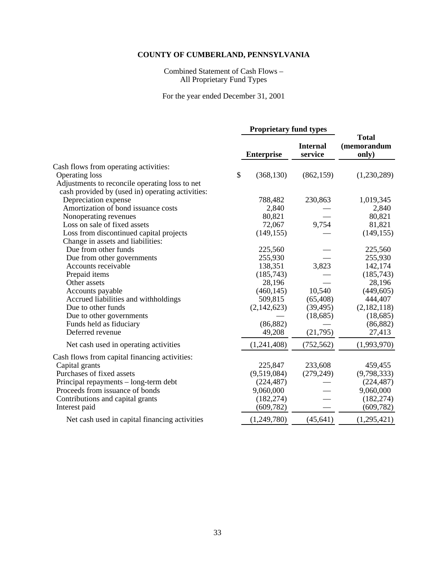Combined Statement of Cash Flows – All Proprietary Fund Types

For the year ended December 31, 2001

|                                                  |               | <b>Proprietary fund types</b> |                            |                                      |
|--------------------------------------------------|---------------|-------------------------------|----------------------------|--------------------------------------|
|                                                  |               | <b>Enterprise</b>             | <b>Internal</b><br>service | <b>Total</b><br>(memorandum<br>only) |
| Cash flows from operating activities:            |               |                               |                            |                                      |
| <b>Operating loss</b>                            | $\mathcal{S}$ | (368, 130)                    | (862, 159)                 | (1,230,289)                          |
| Adjustments to reconcile operating loss to net   |               |                               |                            |                                      |
| cash provided by (used in) operating activities: |               |                               |                            |                                      |
| Depreciation expense                             |               | 788,482                       | 230,863                    | 1,019,345                            |
| Amortization of bond issuance costs              |               | 2,840                         |                            | 2,840                                |
| Nonoperating revenues                            |               | 80,821                        |                            | 80,821                               |
| Loss on sale of fixed assets                     |               | 72,067                        | 9,754                      | 81,821                               |
| Loss from discontinued capital projects          |               | (149, 155)                    |                            | (149, 155)                           |
| Change in assets and liabilities:                |               |                               |                            |                                      |
| Due from other funds                             |               | 225,560                       |                            | 225,560                              |
| Due from other governments                       |               | 255,930                       |                            | 255,930                              |
| Accounts receivable                              |               | 138,351                       | 3,823                      | 142,174                              |
| Prepaid items                                    |               | (185,743)                     |                            | (185,743)                            |
| Other assets                                     |               | 28,196                        |                            | 28,196                               |
| Accounts payable                                 |               | (460, 145)                    | 10,540                     | (449, 605)                           |
| Accrued liabilities and withholdings             |               | 509,815                       | (65, 408)                  | 444,407                              |
| Due to other funds                               |               | (2,142,623)                   | (39, 495)                  | (2,182,118)                          |
| Due to other governments                         |               |                               | (18,685)                   | (18,685)                             |
| Funds held as fiduciary                          |               | (86, 882)                     |                            | (86, 882)                            |
| Deferred revenue                                 |               | 49,208                        | (21,795)                   | 27,413                               |
| Net cash used in operating activities            |               | (1,241,408)                   | (752, 562)                 | (1,993,970)                          |
| Cash flows from capital financing activities:    |               |                               |                            |                                      |
| Capital grants                                   |               | 225,847                       | 233,608                    | 459,455                              |
| Purchases of fixed assets                        |               | (9,519,084)                   | (279, 249)                 | (9,798,333)                          |
| Principal repayments – long-term debt            |               | (224, 487)                    |                            | (224, 487)                           |
| Proceeds from issuance of bonds                  |               | 9,060,000                     |                            | 9,060,000                            |
| Contributions and capital grants                 |               | (182, 274)                    |                            | (182, 274)                           |
| Interest paid                                    |               | (609, 782)                    |                            | (609, 782)                           |
| Net cash used in capital financing activities    |               | (1,249,780)                   | (45, 641)                  | (1,295,421)                          |
|                                                  |               |                               |                            |                                      |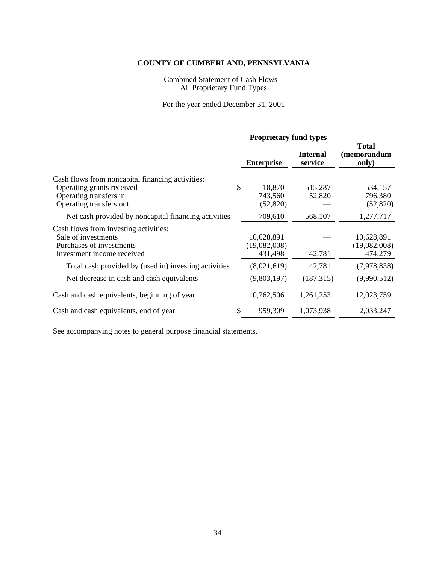Combined Statement of Cash Flows – All Proprietary Fund Types

For the year ended December 31, 2001

|                                                                                                                                    | <b>Proprietary fund types</b>         |                            |                                       |
|------------------------------------------------------------------------------------------------------------------------------------|---------------------------------------|----------------------------|---------------------------------------|
|                                                                                                                                    | <b>Enterprise</b>                     | <b>Internal</b><br>service | <b>Total</b><br>(memorandum<br>only)  |
| Cash flows from noncapital financing activities:<br>Operating grants received<br>Operating transfers in<br>Operating transfers out | \$<br>18,870<br>743,560<br>(52, 820)  | 515,287<br>52,820          | 534,157<br>796,380<br>(52, 820)       |
| Net cash provided by noncapital financing activities                                                                               | 709,610                               | 568,107                    | 1,277,717                             |
| Cash flows from investing activities:<br>Sale of investments<br>Purchases of investments<br>Investment income received             | 10,628,891<br>(19,082,008)<br>431,498 | 42,781                     | 10,628,891<br>(19,082,008)<br>474,279 |
| Total cash provided by (used in) investing activities                                                                              | (8,021,619)                           | 42,781                     | (7,978,838)                           |
| Net decrease in cash and cash equivalents                                                                                          | (9,803,197)                           | (187, 315)                 | (9,990,512)                           |
| Cash and cash equivalents, beginning of year                                                                                       | 10,762,506                            | 1,261,253                  | 12,023,759                            |
| Cash and cash equivalents, end of year                                                                                             | \$<br>959,309                         | 1,073,938                  | 2,033,247                             |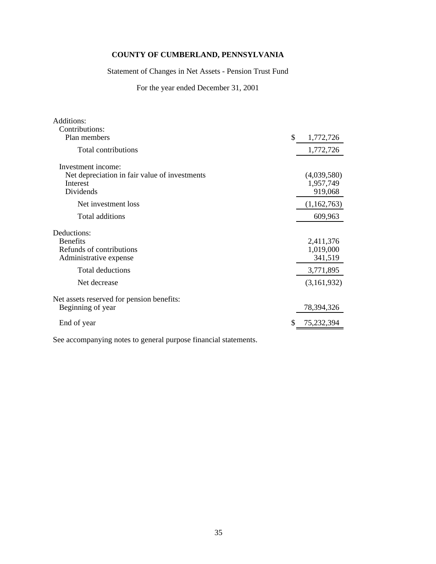Statement of Changes in Net Assets - Pension Trust Fund

For the year ended December 31, 2001

| Additions:                                    |                  |
|-----------------------------------------------|------------------|
| Contributions:                                |                  |
| Plan members                                  | \$<br>1,772,726  |
| Total contributions                           | 1,772,726        |
| Investment income:                            |                  |
| Net depreciation in fair value of investments | (4,039,580)      |
| Interest                                      | 1,957,749        |
| Dividends                                     | 919,068          |
| Net investment loss                           | (1,162,763)      |
| Total additions                               | 609,963          |
| Deductions:                                   |                  |
| <b>Benefits</b>                               | 2,411,376        |
| Refunds of contributions                      | 1,019,000        |
| Administrative expense                        | 341,519          |
| Total deductions                              | 3,771,895        |
| Net decrease                                  | (3,161,932)      |
| Net assets reserved for pension benefits:     |                  |
| Beginning of year                             | 78,394,326       |
| End of year                                   | \$<br>75,232,394 |
|                                               |                  |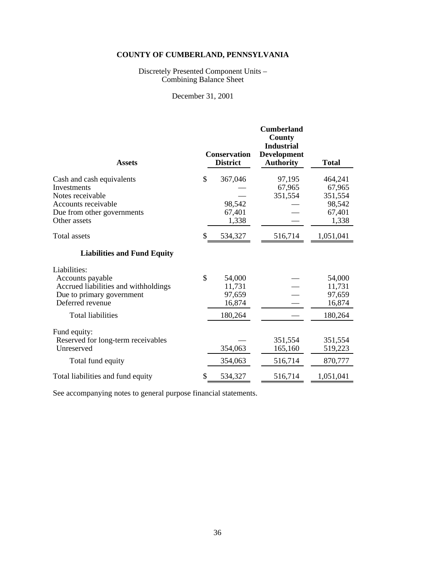#### Discretely Presented Component Units – Combining Balance Sheet

December 31, 2001

| <b>Assets</b>                                                                                                                     | <b>Conservation</b><br><b>District</b>     | <b>Cumberland</b><br>County<br><b>Industrial</b><br><b>Development</b><br><b>Authority</b> | <b>Total</b>                                              |
|-----------------------------------------------------------------------------------------------------------------------------------|--------------------------------------------|--------------------------------------------------------------------------------------------|-----------------------------------------------------------|
| Cash and cash equivalents<br>Investments<br>Notes receivable<br>Accounts receivable<br>Due from other governments<br>Other assets | \$<br>367,046<br>98,542<br>67,401<br>1,338 | 97,195<br>67,965<br>351,554                                                                | 464,241<br>67,965<br>351,554<br>98,542<br>67,401<br>1,338 |
| <b>Total assets</b>                                                                                                               | \$<br>534,327                              | 516,714                                                                                    | 1,051,041                                                 |
| <b>Liabilities and Fund Equity</b>                                                                                                |                                            |                                                                                            |                                                           |
| Liabilities:<br>Accounts payable<br>Accrued liabilities and withholdings<br>Due to primary government<br>Deferred revenue         | \$<br>54,000<br>11,731<br>97,659<br>16,874 |                                                                                            | 54,000<br>11,731<br>97,659<br>16,874                      |
| <b>Total liabilities</b>                                                                                                          | 180,264                                    |                                                                                            | 180,264                                                   |
| Fund equity:<br>Reserved for long-term receivables<br>Unreserved<br>Total fund equity                                             | 354,063<br>354,063                         | 351,554<br>165,160<br>516,714                                                              | 351,554<br>519,223<br>870,777                             |
| Total liabilities and fund equity                                                                                                 | \$<br>534,327                              | 516,714                                                                                    | 1,051,041                                                 |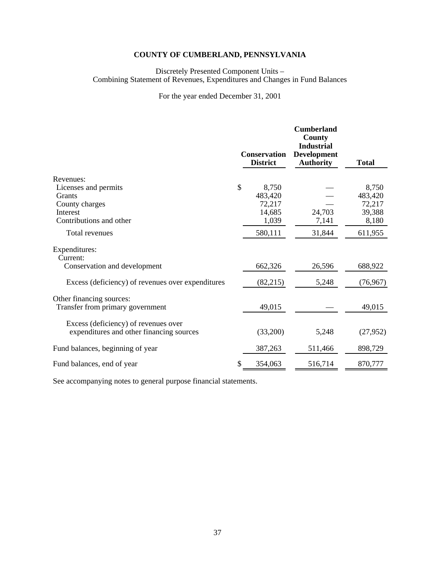### Discretely Presented Component Units – Combining Statement of Revenues, Expenditures and Changes in Fund Balances

For the year ended December 31, 2001

|                                                   |              | <b>Conservation</b><br><b>District</b> | <b>Cumberland</b><br>County<br><b>Industrial</b><br><b>Development</b><br><b>Authority</b> | <b>Total</b>      |
|---------------------------------------------------|--------------|----------------------------------------|--------------------------------------------------------------------------------------------|-------------------|
|                                                   |              |                                        |                                                                                            |                   |
| Revenues:                                         |              |                                        |                                                                                            |                   |
| Licenses and permits                              | $\mathbb{S}$ | 8,750                                  |                                                                                            | 8,750             |
| Grants<br>County charges                          |              | 483,420<br>72,217                      |                                                                                            | 483,420<br>72,217 |
| Interest                                          |              | 14,685                                 | 24,703                                                                                     | 39,388            |
| Contributions and other                           |              | 1,039                                  | 7,141                                                                                      | 8,180             |
| Total revenues                                    |              | 580,111                                | 31,844                                                                                     | 611,955           |
| Expenditures:                                     |              |                                        |                                                                                            |                   |
| Current:                                          |              |                                        |                                                                                            |                   |
| Conservation and development                      |              | 662,326                                | 26,596                                                                                     | 688,922           |
| Excess (deficiency) of revenues over expenditures |              | (82,215)                               | 5,248                                                                                      | (76, 967)         |
| Other financing sources:                          |              |                                        |                                                                                            |                   |
| Transfer from primary government                  |              | 49,015                                 |                                                                                            | 49,015            |
| Excess (deficiency) of revenues over              |              |                                        |                                                                                            |                   |
| expenditures and other financing sources          |              | (33,200)                               | 5,248                                                                                      | (27,952)          |
| Fund balances, beginning of year                  |              | 387,263                                | 511,466                                                                                    | 898,729           |
| Fund balances, end of year                        | \$           | 354,063                                | 516,714                                                                                    | 870,777           |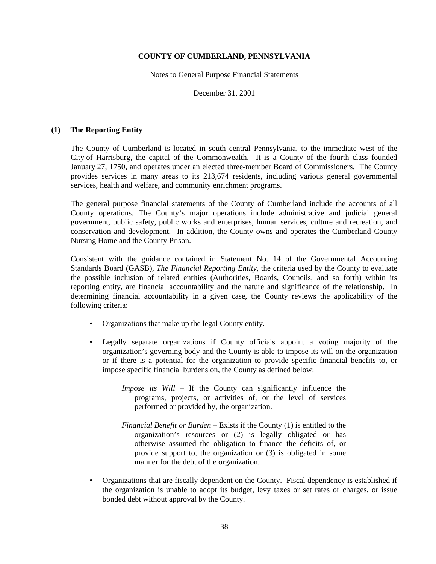Notes to General Purpose Financial Statements

December 31, 2001

## **(1) The Reporting Entity**

The County of Cumberland is located in south central Pennsylvania, to the immediate west of the City of Harrisburg, the capital of the Commonwealth. It is a County of the fourth class founded January 27, 1750, and operates under an elected three-member Board of Commissioners. The County provides services in many areas to its 213,674 residents, including various general governmental services, health and welfare, and community enrichment programs.

The general purpose financial statements of the County of Cumberland include the accounts of all County operations. The County's major operations include administrative and judicial general government, public safety, public works and enterprises, human services, culture and recreation, and conservation and development. In addition, the County owns and operates the Cumberland County Nursing Home and the County Prison.

Consistent with the guidance contained in Statement No. 14 of the Governmental Accounting Standards Board (GASB), *The Financial Reporting Entity*, the criteria used by the County to evaluate the possible inclusion of related entities (Authorities, Boards, Councils, and so forth) within its reporting entity, are financial accountability and the nature and significance of the relationship. In determining financial accountability in a given case, the County reviews the applicability of the following criteria:

- Organizations that make up the legal County entity.
- Legally separate organizations if County officials appoint a voting majority of the organization's governing body and the County is able to impose its will on the organization or if there is a potential for the organization to provide specific financial benefits to, or impose specific financial burdens on, the County as defined below:
	- *Impose its Will* If the County can significantly influence the programs, projects, or activities of, or the level of services performed or provided by, the organization.
	- *Financial Benefit or Burden* Exists if the County (1) is entitled to the organization's resources or (2) is legally obligated or has otherwise assumed the obligation to finance the deficits of, or provide support to, the organization or (3) is obligated in some manner for the debt of the organization.
- Organizations that are fiscally dependent on the County. Fiscal dependency is established if the organization is unable to adopt its budget, levy taxes or set rates or charges, or issue bonded debt without approval by the County.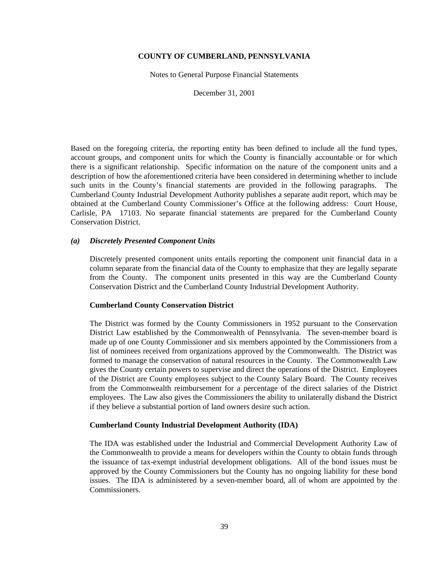Notes to General Purpose Financial Statements

December 31, 2001

Based on the foregoing criteria, the reporting entity has been defined to include all the fund types, account groups, and component units for which the County is financially accountable or for which there is a significant relationship. Specific information on the nature of the component units and a description of how the aforementioned criteria have been considered in determining whether to include such units in the County's financial statements are provided in the following paragraphs. The Cumberland County Industrial Development Authority publishes a separate audit report, which may be obtained at the Cumberland County Commissioner's Office at the following address: Court House, Carlisle, PA 17103. No separate financial statements are prepared for the Cumberland County Conservation District.

#### *(a) Discretely Presented Component Units*

Discretely presented component units entails reporting the component unit financial data in a column separate from the financial data of the County to emphasize that they are legally separate from the County. The component units presented in this way are the Cumberland County Conservation District and the Cumberland County Industrial Development Authority.

## **Cumberland County Conservation District**

The District was formed by the County Commissioners in 1952 pursuant to the Conservation District Law established by the Commonwealth of Pennsylvania. The seven-member board is made up of one County Commissioner and six members appointed by the Commissioners from a list of nominees received from organizations approved by the Commonwealth. The District was formed to manage the conservation of natural resources in the County. The Commonwealth Law gives the County certain powers to supervise and direct the operations of the District. Employees of the District are County employees subject to the County Salary Board. The County receives from the Commonwealth reimbursement for a percentage of the direct salaries of the District employees. The Law also gives the Commissioners the ability to unilaterally disband the District if they believe a substantial portion of land owners desire such action.

#### **Cumberland County Industrial Development Authority (IDA)**

The IDA was established under the Industrial and Commercial Development Authority Law of the Commonwealth to provide a means for developers within the County to obtain funds through the issuance of tax-exempt industrial development obligations. All of the bond issues must be approved by the County Commissioners but the County has no ongoing liability for these bond issues. The IDA is administered by a seven-member board, all of whom are appointed by the Commissioners.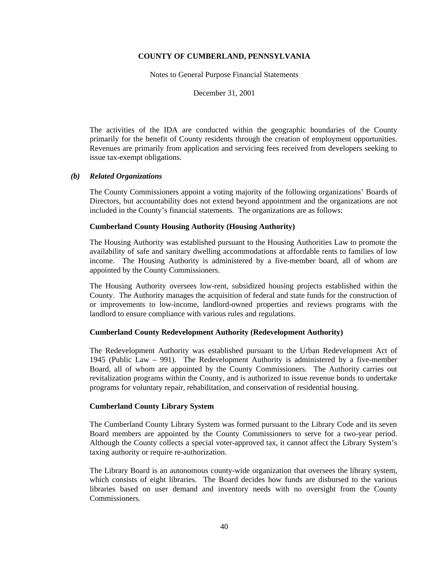Notes to General Purpose Financial Statements

December 31, 2001

The activities of the IDA are conducted within the geographic boundaries of the County primarily for the benefit of County residents through the creation of employment opportunities. Revenues are primarily from application and servicing fees received from developers seeking to issue tax-exempt obligations.

## *(b) Related Organizations*

The County Commissioners appoint a voting majority of the following organizations' Boards of Directors, but accountability does not extend beyond appointment and the organizations are not included in the County's financial statements. The organizations are as follows:

#### **Cumberland County Housing Authority (Housing Authority)**

The Housing Authority was established pursuant to the Housing Authorities Law to promote the availability of safe and sanitary dwelling accommodations at affordable rents to families of low income. The Housing Authority is administered by a five-member board, all of whom are appointed by the County Commissioners.

The Housing Authority oversees low-rent, subsidized housing projects established within the County. The Authority manages the acquisition of federal and state funds for the construction of or improvements to low-income, landlord-owned properties and reviews programs with the landlord to ensure compliance with various rules and regulations.

## **Cumberland County Redevelopment Authority (Redevelopment Authority)**

The Redevelopment Authority was established pursuant to the Urban Redevelopment Act of 1945 (Public Law – 991). The Redevelopment Authority is administered by a five-member Board, all of whom are appointed by the County Commissioners. The Authority carries out revitalization programs within the County, and is authorized to issue revenue bonds to undertake programs for voluntary repair, rehabilitation, and conservation of residential housing.

#### **Cumberland County Library System**

The Cumberland County Library System was formed pursuant to the Library Code and its seven Board members are appointed by the County Commissioners to serve for a two-year period. Although the County collects a special voter-approved tax, it cannot affect the Library System's taxing authority or require re-authorization.

The Library Board is an autonomous county-wide organization that oversees the library system, which consists of eight libraries. The Board decides how funds are disbursed to the various libraries based on user demand and inventory needs with no oversight from the County Commissioners.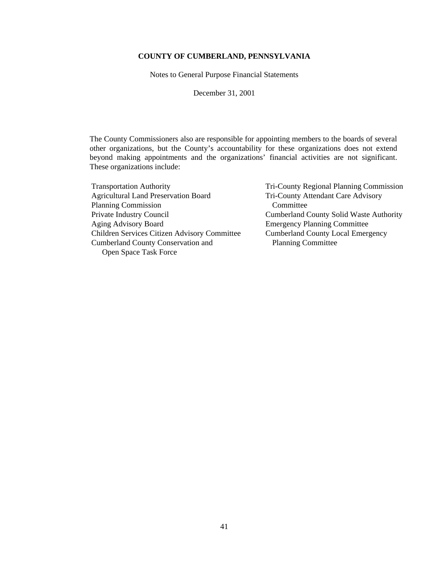Notes to General Purpose Financial Statements

December 31, 2001

The County Commissioners also are responsible for appointing members to the boards of several other organizations, but the County's accountability for these organizations does not extend beyond making appointments and the organizations' financial activities are not significant. These organizations include:

| <b>Transportation Authority</b>              |
|----------------------------------------------|
| <b>Agricultural Land Preservation Board</b>  |
| <b>Planning Commission</b>                   |
| Private Industry Council                     |
| Aging Advisory Board                         |
| Children Services Citizen Advisory Committee |
| Cumberland County Conservation and           |
| Open Space Task Force                        |

Tri-County Regional Planning Commission Tri-County Attendant Care Advisory **Committee** Cumberland County Solid Waste Authority **Emergency Planning Committee** Cumberland County Local Emergency Planning Committee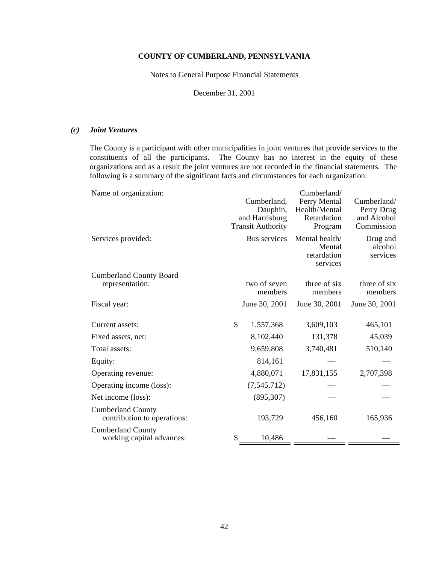Notes to General Purpose Financial Statements

December 31, 2001

# *(c) Joint Ventures*

The County is a participant with other municipalities in joint ventures that provide services to the constituents of all the participants. The County has no interest in the equity of these organizations and as a result the joint ventures are not recorded in the financial statements. The following is a summary of the significant facts and circumstances for each organization:

| Name of organization:                                   |              | Cumberland,<br>Dauphin,<br>and Harrisburg<br><b>Transit Authority</b> | Cumberland/<br>Perry Mental<br>Health/Mental<br>Retardation<br>Program | Cumberland/<br>Perry Drug<br>and Alcohol<br>Commission |
|---------------------------------------------------------|--------------|-----------------------------------------------------------------------|------------------------------------------------------------------------|--------------------------------------------------------|
| Services provided:                                      |              | Bus services                                                          | Mental health/<br>Mental<br>retardation<br>services                    | Drug and<br>alcohol<br>services                        |
| <b>Cumberland County Board</b>                          |              |                                                                       |                                                                        |                                                        |
| representation:                                         |              | two of seven<br>members                                               | three of six<br>members                                                | three of six<br>members                                |
| Fiscal year:                                            |              | June 30, 2001                                                         | June 30, 2001                                                          | June 30, 2001                                          |
| Current assets:                                         | $\mathbb{S}$ | 1,557,368                                                             | 3,609,103                                                              | 465,101                                                |
| Fixed assets, net:                                      |              | 8,102,440                                                             | 131,378                                                                | 45,039                                                 |
| Total assets:                                           |              | 9,659,808                                                             | 3,740,481                                                              | 510,140                                                |
| Equity:                                                 |              | 814,161                                                               |                                                                        |                                                        |
| Operating revenue:                                      |              | 4,880,071                                                             | 17,831,155                                                             | 2,707,398                                              |
| Operating income (loss):                                |              | (7, 545, 712)                                                         |                                                                        |                                                        |
| Net income (loss):                                      |              | (895, 307)                                                            |                                                                        |                                                        |
| <b>Cumberland County</b><br>contribution to operations: |              | 193,729                                                               | 456,160                                                                | 165,936                                                |
| <b>Cumberland County</b><br>working capital advances:   | S            | 10,486                                                                |                                                                        |                                                        |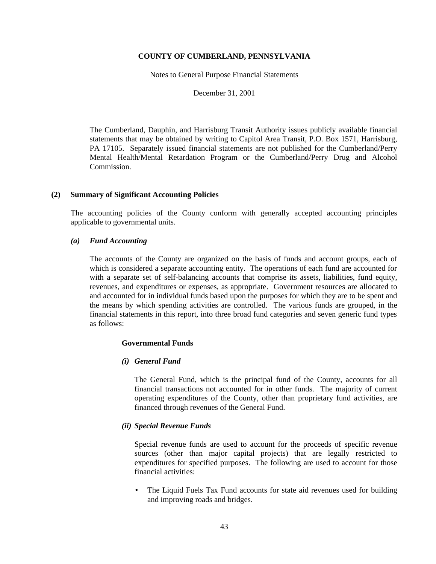Notes to General Purpose Financial Statements

December 31, 2001

The Cumberland, Dauphin, and Harrisburg Transit Authority issues publicly available financial statements that may be obtained by writing to Capitol Area Transit, P.O. Box 1571, Harrisburg, PA 17105. Separately issued financial statements are not published for the Cumberland/Perry Mental Health/Mental Retardation Program or the Cumberland/Perry Drug and Alcohol Commission.

#### **(2) Summary of Significant Accounting Policies**

The accounting policies of the County conform with generally accepted accounting principles applicable to governmental units.

### *(a) Fund Accounting*

The accounts of the County are organized on the basis of funds and account groups, each of which is considered a separate accounting entity. The operations of each fund are accounted for with a separate set of self-balancing accounts that comprise its assets, liabilities, fund equity, revenues, and expenditures or expenses, as appropriate. Government resources are allocated to and accounted for in individual funds based upon the purposes for which they are to be spent and the means by which spending activities are controlled. The various funds are grouped, in the financial statements in this report, into three broad fund categories and seven generic fund types as follows:

## **Governmental Funds**

#### *(i) General Fund*

The General Fund, which is the principal fund of the County, accounts for all financial transactions not accounted for in other funds. The majority of current operating expenditures of the County, other than proprietary fund activities, are financed through revenues of the General Fund.

## *(ii) Special Revenue Funds*

Special revenue funds are used to account for the proceeds of specific revenue sources (other than major capital projects) that are legally restricted to expenditures for specified purposes. The following are used to account for those financial activities:

• The Liquid Fuels Tax Fund accounts for state aid revenues used for building and improving roads and bridges.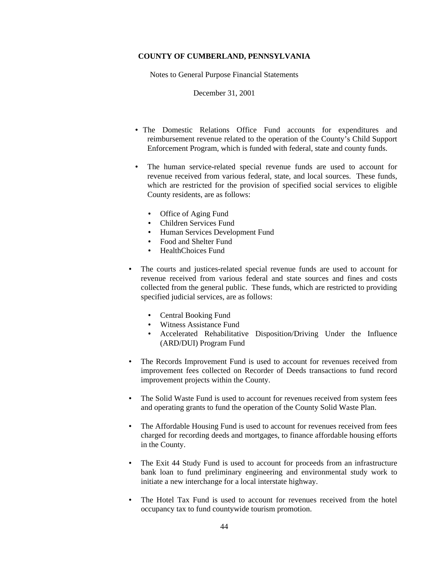Notes to General Purpose Financial Statements

December 31, 2001

- The Domestic Relations Office Fund accounts for expenditures and reimbursement revenue related to the operation of the County's Child Support Enforcement Program, which is funded with federal, state and county funds.
- The human service-related special revenue funds are used to account for revenue received from various federal, state, and local sources. These funds, which are restricted for the provision of specified social services to eligible County residents, are as follows:
	- Office of Aging Fund
	- Children Services Fund
	- Human Services Development Fund
	- Food and Shelter Fund
	- HealthChoices Fund
- The courts and justices-related special revenue funds are used to account for revenue received from various federal and state sources and fines and costs collected from the general public. These funds, which are restricted to providing specified judicial services, are as follows:
	- Central Booking Fund
	- Witness Assistance Fund
	- Accelerated Rehabilitative Disposition/Driving Under the Influence (ARD/DUI) Program Fund
- The Records Improvement Fund is used to account for revenues received from improvement fees collected on Recorder of Deeds transactions to fund record improvement projects within the County.
- The Solid Waste Fund is used to account for revenues received from system fees and operating grants to fund the operation of the County Solid Waste Plan.
- The Affordable Housing Fund is used to account for revenues received from fees charged for recording deeds and mortgages, to finance affordable housing efforts in the County.
- The Exit 44 Study Fund is used to account for proceeds from an infrastructure bank loan to fund preliminary engineering and environmental study work to initiate a new interchange for a local interstate highway.
- The Hotel Tax Fund is used to account for revenues received from the hotel occupancy tax to fund countywide tourism promotion.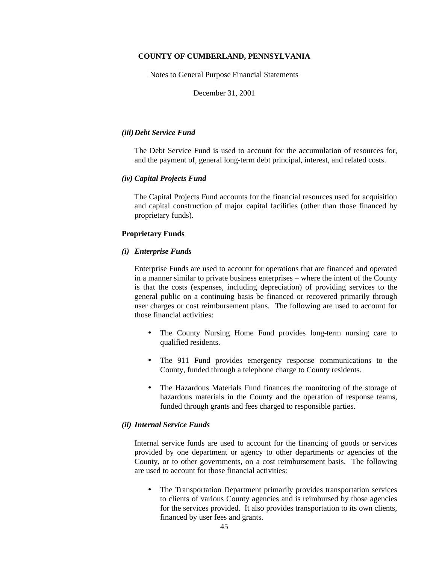Notes to General Purpose Financial Statements

December 31, 2001

#### *(iii)Debt Service Fund*

The Debt Service Fund is used to account for the accumulation of resources for, and the payment of, general long-term debt principal, interest, and related costs.

### *(iv) Capital Projects Fund*

The Capital Projects Fund accounts for the financial resources used for acquisition and capital construction of major capital facilities (other than those financed by proprietary funds).

#### **Proprietary Funds**

#### *(i) Enterprise Funds*

Enterprise Funds are used to account for operations that are financed and operated in a manner similar to private business enterprises – where the intent of the County is that the costs (expenses, including depreciation) of providing services to the general public on a continuing basis be financed or recovered primarily through user charges or cost reimbursement plans. The following are used to account for those financial activities:

- The County Nursing Home Fund provides long-term nursing care to qualified residents.
- The 911 Fund provides emergency response communications to the County, funded through a telephone charge to County residents.
- The Hazardous Materials Fund finances the monitoring of the storage of hazardous materials in the County and the operation of response teams, funded through grants and fees charged to responsible parties.

#### *(ii) Internal Service Funds*

Internal service funds are used to account for the financing of goods or services provided by one department or agency to other departments or agencies of the County, or to other governments, on a cost reimbursement basis. The following are used to account for those financial activities:

• The Transportation Department primarily provides transportation services to clients of various County agencies and is reimbursed by those agencies for the services provided. It also provides transportation to its own clients, financed by user fees and grants.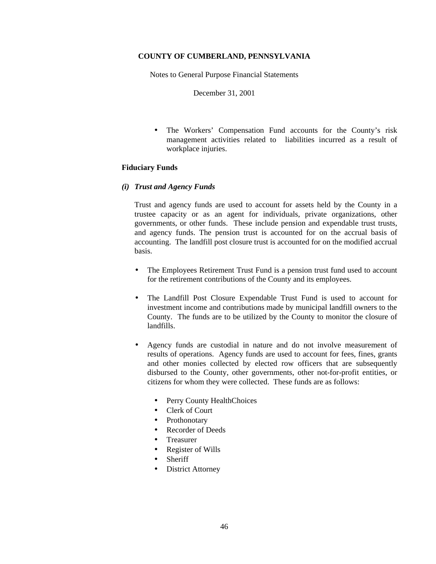Notes to General Purpose Financial Statements

December 31, 2001

• The Workers' Compensation Fund accounts for the County's risk management activities related to liabilities incurred as a result of workplace injuries.

#### **Fiduciary Funds**

### *(i) Trust and Agency Funds*

Trust and agency funds are used to account for assets held by the County in a trustee capacity or as an agent for individuals, private organizations, other governments, or other funds. These include pension and expendable trust trusts, and agency funds. The pension trust is accounted for on the accrual basis of accounting. The landfill post closure trust is accounted for on the modified accrual basis.

- The Employees Retirement Trust Fund is a pension trust fund used to account for the retirement contributions of the County and its employees.
- The Landfill Post Closure Expendable Trust Fund is used to account for investment income and contributions made by municipal landfill owners to the County. The funds are to be utilized by the County to monitor the closure of landfills.
- Agency funds are custodial in nature and do not involve measurement of results of operations. Agency funds are used to account for fees, fines, grants and other monies collected by elected row officers that are subsequently disbursed to the County, other governments, other not-for-profit entities, or citizens for whom they were collected. These funds are as follows:
	- Perry County HealthChoices
	- Clerk of Court
	- Prothonotary
	- Recorder of Deeds
	- **Treasurer**
	- Register of Wills
	- **Sheriff**
	- District Attorney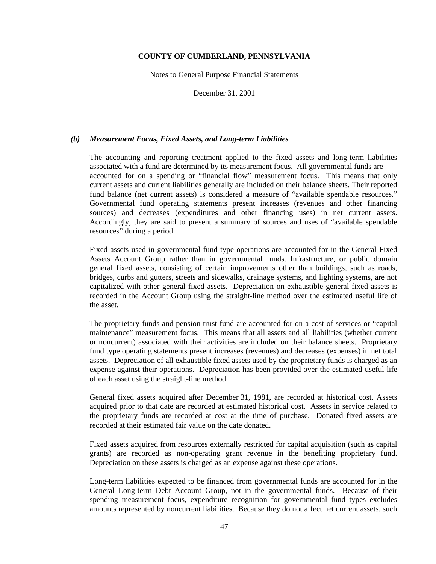Notes to General Purpose Financial Statements

December 31, 2001

### *(b) Measurement Focus, Fixed Assets, and Long-term Liabilities*

The accounting and reporting treatment applied to the fixed assets and long-term liabilities associated with a fund are determined by its measurement focus. All governmental funds are accounted for on a spending or "financial flow" measurement focus. This means that only current assets and current liabilities generally are included on their balance sheets. Their reported fund balance (net current assets) is considered a measure of "available spendable resources." Governmental fund operating statements present increases (revenues and other financing sources) and decreases (expenditures and other financing uses) in net current assets. Accordingly, they are said to present a summary of sources and uses of "available spendable resources" during a period.

Fixed assets used in governmental fund type operations are accounted for in the General Fixed Assets Account Group rather than in governmental funds. Infrastructure, or public domain general fixed assets, consisting of certain improvements other than buildings, such as roads, bridges, curbs and gutters, streets and sidewalks, drainage systems, and lighting systems, are not capitalized with other general fixed assets. Depreciation on exhaustible general fixed assets is recorded in the Account Group using the straight-line method over the estimated useful life of the asset.

The proprietary funds and pension trust fund are accounted for on a cost of services or "capital maintenance" measurement focus. This means that all assets and all liabilities (whether current or noncurrent) associated with their activities are included on their balance sheets. Proprietary fund type operating statements present increases (revenues) and decreases (expenses) in net total assets. Depreciation of all exhaustible fixed assets used by the proprietary funds is charged as an expense against their operations. Depreciation has been provided over the estimated useful life of each asset using the straight-line method.

General fixed assets acquired after December 31, 1981, are recorded at historical cost. Assets acquired prior to that date are recorded at estimated historical cost. Assets in service related to the proprietary funds are recorded at cost at the time of purchase. Donated fixed assets are recorded at their estimated fair value on the date donated.

Fixed assets acquired from resources externally restricted for capital acquisition (such as capital grants) are recorded as non-operating grant revenue in the benefiting proprietary fund. Depreciation on these assets is charged as an expense against these operations.

Long-term liabilities expected to be financed from governmental funds are accounted for in the General Long-term Debt Account Group, not in the governmental funds. Because of their spending measurement focus, expenditure recognition for governmental fund types excludes amounts represented by noncurrent liabilities. Because they do not affect net current assets, such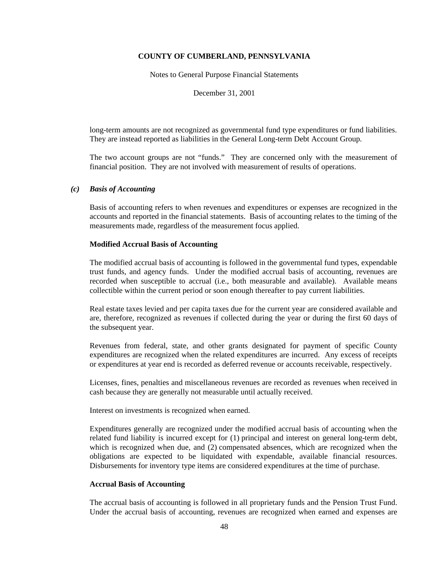Notes to General Purpose Financial Statements

December 31, 2001

long-term amounts are not recognized as governmental fund type expenditures or fund liabilities. They are instead reported as liabilities in the General Long-term Debt Account Group.

The two account groups are not "funds." They are concerned only with the measurement of financial position. They are not involved with measurement of results of operations.

#### *(c) Basis of Accounting*

Basis of accounting refers to when revenues and expenditures or expenses are recognized in the accounts and reported in the financial statements. Basis of accounting relates to the timing of the measurements made, regardless of the measurement focus applied.

#### **Modified Accrual Basis of Accounting**

The modified accrual basis of accounting is followed in the governmental fund types, expendable trust funds, and agency funds. Under the modified accrual basis of accounting, revenues are recorded when susceptible to accrual (i.e., both measurable and available). Available means collectible within the current period or soon enough thereafter to pay current liabilities.

Real estate taxes levied and per capita taxes due for the current year are considered available and are, therefore, recognized as revenues if collected during the year or during the first 60 days of the subsequent year.

Revenues from federal, state, and other grants designated for payment of specific County expenditures are recognized when the related expenditures are incurred. Any excess of receipts or expenditures at year end is recorded as deferred revenue or accounts receivable, respectively.

Licenses, fines, penalties and miscellaneous revenues are recorded as revenues when received in cash because they are generally not measurable until actually received.

Interest on investments is recognized when earned.

Expenditures generally are recognized under the modified accrual basis of accounting when the related fund liability is incurred except for (1) principal and interest on general long-term debt, which is recognized when due, and (2) compensated absences, which are recognized when the obligations are expected to be liquidated with expendable, available financial resources. Disbursements for inventory type items are considered expenditures at the time of purchase.

#### **Accrual Basis of Accounting**

The accrual basis of accounting is followed in all proprietary funds and the Pension Trust Fund. Under the accrual basis of accounting, revenues are recognized when earned and expenses are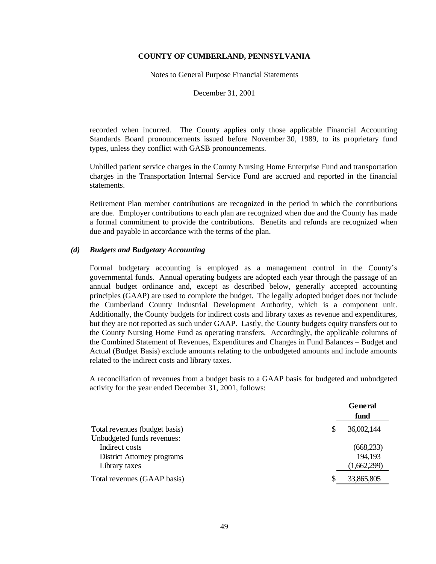Notes to General Purpose Financial Statements

December 31, 2001

recorded when incurred. The County applies only those applicable Financial Accounting Standards Board pronouncements issued before November 30, 1989, to its proprietary fund types, unless they conflict with GASB pronouncements.

Unbilled patient service charges in the County Nursing Home Enterprise Fund and transportation charges in the Transportation Internal Service Fund are accrued and reported in the financial statements.

Retirement Plan member contributions are recognized in the period in which the contributions are due. Employer contributions to each plan are recognized when due and the County has made a formal commitment to provide the contributions. Benefits and refunds are recognized when due and payable in accordance with the terms of the plan.

## *(d) Budgets and Budgetary Accounting*

Formal budgetary accounting is employed as a management control in the County's governmental funds. Annual operating budgets are adopted each year through the passage of an annual budget ordinance and, except as described below, generally accepted accounting principles (GAAP) are used to complete the budget. The legally adopted budget does not include the Cumberland County Industrial Development Authority, which is a component unit. Additionally, the County budgets for indirect costs and library taxes as revenue and expenditures, but they are not reported as such under GAAP. Lastly, the County budgets equity transfers out to the County Nursing Home Fund as operating transfers. Accordingly, the applicable columns of the Combined Statement of Revenues, Expenditures and Changes in Fund Balances – Budget and Actual (Budget Basis) exclude amounts relating to the unbudgeted amounts and include amounts related to the indirect costs and library taxes.

A reconciliation of revenues from a budget basis to a GAAP basis for budgeted and unbudgeted activity for the year ended December 31, 2001, follows:

|    | General<br>fund |
|----|-----------------|
| \$ | 36,002,144      |
|    |                 |
|    | (668, 233)      |
|    | 194,193         |
|    | (1,662,299)     |
| S  | 33,865,805      |
|    |                 |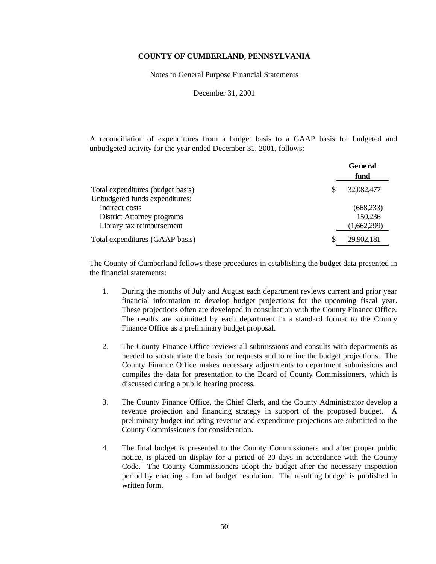Notes to General Purpose Financial Statements

December 31, 2001

A reconciliation of expenditures from a budget basis to a GAAP basis for budgeted and unbudgeted activity for the year ended December 31, 2001, follows:

|                                   |   | General<br>fund |
|-----------------------------------|---|-----------------|
| Total expenditures (budget basis) | S | 32,082,477      |
| Unbudgeted funds expenditures:    |   |                 |
| Indirect costs                    |   | (668, 233)      |
| District Attorney programs        |   | 150,236         |
| Library tax reimbursement         |   | (1,662,299)     |
| Total expenditures (GAAP basis)   | S | 29,902,181      |

The County of Cumberland follows these procedures in establishing the budget data presented in the financial statements:

- 1. During the months of July and August each department reviews current and prior year financial information to develop budget projections for the upcoming fiscal year. These projections often are developed in consultation with the County Finance Office. The results are submitted by each department in a standard format to the County Finance Office as a preliminary budget proposal.
- 2. The County Finance Office reviews all submissions and consults with departments as needed to substantiate the basis for requests and to refine the budget projections. The County Finance Office makes necessary adjustments to department submissions and compiles the data for presentation to the Board of County Commissioners, which is discussed during a public hearing process.
- 3. The County Finance Office, the Chief Clerk, and the County Administrator develop a revenue projection and financing strategy in support of the proposed budget. A preliminary budget including revenue and expenditure projections are submitted to the County Commissioners for consideration.
- 4. The final budget is presented to the County Commissioners and after proper public notice, is placed on display for a period of 20 days in accordance with the County Code. The County Commissioners adopt the budget after the necessary inspection period by enacting a formal budget resolution. The resulting budget is published in written form.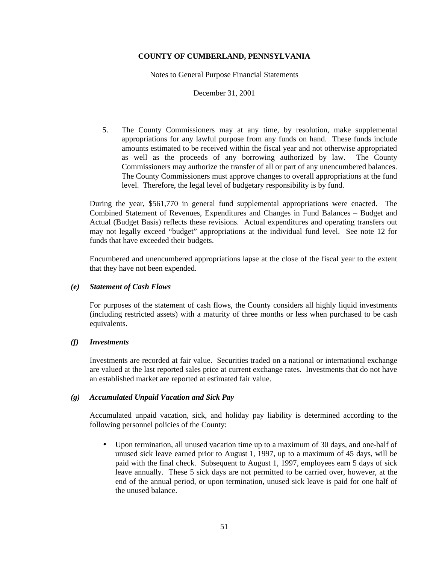## Notes to General Purpose Financial Statements

#### December 31, 2001

5. The County Commissioners may at any time, by resolution, make supplemental appropriations for any lawful purpose from any funds on hand. These funds include amounts estimated to be received within the fiscal year and not otherwise appropriated as well as the proceeds of any borrowing authorized by law. The County Commissioners may authorize the transfer of all or part of any unencumbered balances. The County Commissioners must approve changes to overall appropriations at the fund level. Therefore, the legal level of budgetary responsibility is by fund.

During the year, \$561,770 in general fund supplemental appropriations were enacted. The Combined Statement of Revenues, Expenditures and Changes in Fund Balances – Budget and Actual (Budget Basis) reflects these revisions. Actual expenditures and operating transfers out may not legally exceed "budget" appropriations at the individual fund level. See note 12 for funds that have exceeded their budgets.

Encumbered and unencumbered appropriations lapse at the close of the fiscal year to the extent that they have not been expended.

## *(e) Statement of Cash Flows*

For purposes of the statement of cash flows, the County considers all highly liquid investments (including restricted assets) with a maturity of three months or less when purchased to be cash equivalents.

## *(f) Investments*

Investments are recorded at fair value. Securities traded on a national or international exchange are valued at the last reported sales price at current exchange rates. Investments that do not have an established market are reported at estimated fair value.

## *(g) Accumulated Unpaid Vacation and Sick Pay*

Accumulated unpaid vacation, sick, and holiday pay liability is determined according to the following personnel policies of the County:

• Upon termination, all unused vacation time up to a maximum of 30 days, and one-half of unused sick leave earned prior to August 1, 1997, up to a maximum of 45 days, will be paid with the final check. Subsequent to August 1, 1997, employees earn 5 days of sick leave annually. These 5 sick days are not permitted to be carried over, however, at the end of the annual period, or upon termination, unused sick leave is paid for one half of the unused balance.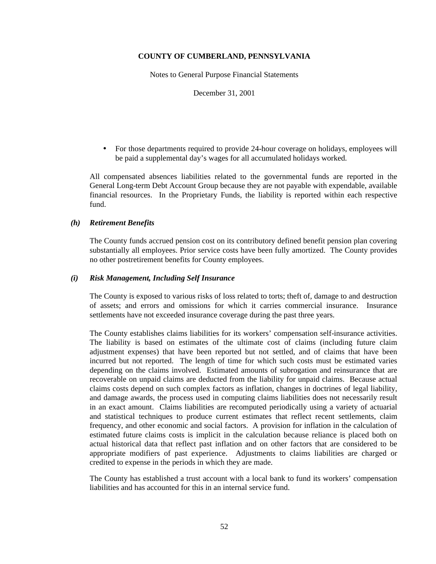Notes to General Purpose Financial Statements

December 31, 2001

• For those departments required to provide 24-hour coverage on holidays, employees will be paid a supplemental day's wages for all accumulated holidays worked.

All compensated absences liabilities related to the governmental funds are reported in the General Long-term Debt Account Group because they are not payable with expendable, available financial resources. In the Proprietary Funds, the liability is reported within each respective fund.

## *(h) Retirement Benefits*

The County funds accrued pension cost on its contributory defined benefit pension plan covering substantially all employees. Prior service costs have been fully amortized. The County provides no other postretirement benefits for County employees.

#### *(i) Risk Management, Including Self Insurance*

The County is exposed to various risks of loss related to torts; theft of, damage to and destruction of assets; and errors and omissions for which it carries commercial insurance. Insurance settlements have not exceeded insurance coverage during the past three years.

The County establishes claims liabilities for its workers' compensation self-insurance activities. The liability is based on estimates of the ultimate cost of claims (including future claim adjustment expenses) that have been reported but not settled, and of claims that have been incurred but not reported. The length of time for which such costs must be estimated varies depending on the claims involved. Estimated amounts of subrogation and reinsurance that are recoverable on unpaid claims are deducted from the liability for unpaid claims. Because actual claims costs depend on such complex factors as inflation, changes in doctrines of legal liability, and damage awards, the process used in computing claims liabilities does not necessarily result in an exact amount. Claims liabilities are recomputed periodically using a variety of actuarial and statistical techniques to produce current estimates that reflect recent settlements, claim frequency, and other economic and social factors. A provision for inflation in the calculation of estimated future claims costs is implicit in the calculation because reliance is placed both on actual historical data that reflect past inflation and on other factors that are considered to be appropriate modifiers of past experience. Adjustments to claims liabilities are charged or credited to expense in the periods in which they are made.

The County has established a trust account with a local bank to fund its workers' compensation liabilities and has accounted for this in an internal service fund.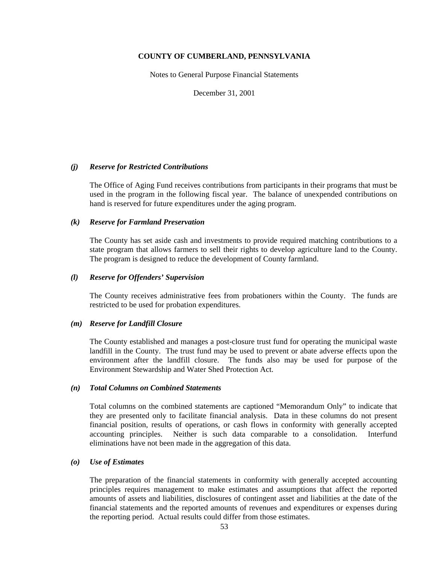Notes to General Purpose Financial Statements

December 31, 2001

## *(j) Reserve for Restricted Contributions*

The Office of Aging Fund receives contributions from participants in their programs that must be used in the program in the following fiscal year. The balance of unexpended contributions on hand is reserved for future expenditures under the aging program.

#### *(k) Reserve for Farmland Preservation*

The County has set aside cash and investments to provide required matching contributions to a state program that allows farmers to sell their rights to develop agriculture land to the County. The program is designed to reduce the development of County farmland.

#### *(l) Reserve for Offenders' Supervision*

The County receives administrative fees from probationers within the County. The funds are restricted to be used for probation expenditures.

## *(m) Reserve for Landfill Closure*

The County established and manages a post-closure trust fund for operating the municipal waste landfill in the County. The trust fund may be used to prevent or abate adverse effects upon the environment after the landfill closure. The funds also may be used for purpose of the Environment Stewardship and Water Shed Protection Act.

## *(n) Total Columns on Combined Statements*

Total columns on the combined statements are captioned "Memorandum Only" to indicate that they are presented only to facilitate financial analysis. Data in these columns do not present financial position, results of operations, or cash flows in conformity with generally accepted accounting principles. Neither is such data comparable to a consolidation. Interfund eliminations have not been made in the aggregation of this data.

#### *(o) Use of Estimates*

The preparation of the financial statements in conformity with generally accepted accounting principles requires management to make estimates and assumptions that affect the reported amounts of assets and liabilities, disclosures of contingent asset and liabilities at the date of the financial statements and the reported amounts of revenues and expenditures or expenses during the reporting period. Actual results could differ from those estimates.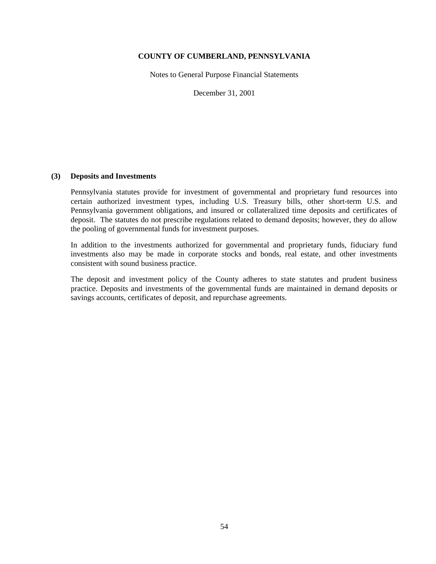Notes to General Purpose Financial Statements

December 31, 2001

## **(3) Deposits and Investments**

Pennsylvania statutes provide for investment of governmental and proprietary fund resources into certain authorized investment types, including U.S. Treasury bills, other short-term U.S. and Pennsylvania government obligations, and insured or collateralized time deposits and certificates of deposit. The statutes do not prescribe regulations related to demand deposits; however, they do allow the pooling of governmental funds for investment purposes.

In addition to the investments authorized for governmental and proprietary funds, fiduciary fund investments also may be made in corporate stocks and bonds, real estate, and other investments consistent with sound business practice.

The deposit and investment policy of the County adheres to state statutes and prudent business practice. Deposits and investments of the governmental funds are maintained in demand deposits or savings accounts, certificates of deposit, and repurchase agreements.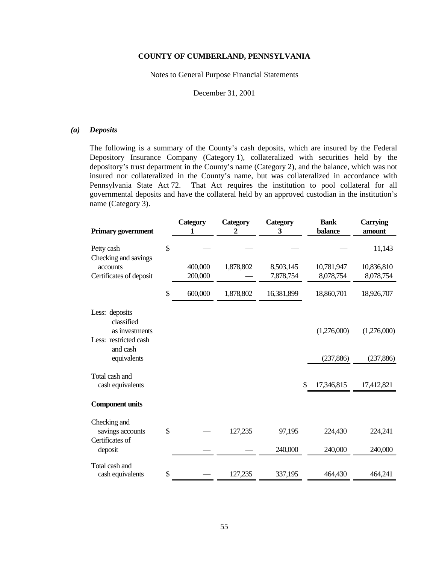## Notes to General Purpose Financial Statements

## December 31, 2001

## *(a) Deposits*

The following is a summary of the County's cash deposits, which are insured by the Federal Depository Insurance Company (Category 1), collateralized with securities held by the depository's trust department in the County's name (Category 2), and the balance, which was not insured nor collateralized in the County's name, but was collateralized in accordance with Pennsylvania State Act 72. That Act requires the institution to pool collateral for all governmental deposits and have the collateral held by an approved custodian in the institution's name (Category 3).

| <b>Primary government</b>                           | <b>Category</b> | <b>Category</b><br>2 | <b>Category</b><br>3 | <b>Bank</b><br>balance | <b>Carrying</b><br>amount |
|-----------------------------------------------------|-----------------|----------------------|----------------------|------------------------|---------------------------|
| Petty cash                                          | \$              |                      |                      |                        | 11,143                    |
| Checking and savings<br>accounts                    | 400,000         | 1,878,802            | 8,503,145            | 10,781,947             | 10,836,810                |
| Certificates of deposit                             | 200,000         |                      | 7,878,754            | 8,078,754              | 8,078,754                 |
|                                                     | \$<br>600,000   | 1,878,802            | 16,381,899           | 18,860,701             | 18,926,707                |
| Less: deposits<br>classified<br>as investments      |                 |                      |                      | (1,276,000)            | (1,276,000)               |
| Less: restricted cash<br>and cash<br>equivalents    |                 |                      |                      | (237, 886)             | (237, 886)                |
| Total cash and<br>cash equivalents                  |                 |                      | $\mathcal{S}$        | 17,346,815             | 17,412,821                |
| <b>Component units</b>                              |                 |                      |                      |                        |                           |
| Checking and<br>savings accounts<br>Certificates of | \$              | 127,235              | 97,195               | 224,430                | 224,241                   |
| deposit                                             |                 |                      | 240,000              | 240,000                | 240,000                   |
| Total cash and<br>cash equivalents                  | \$              | 127,235              | 337,195              | 464,430                | 464,241                   |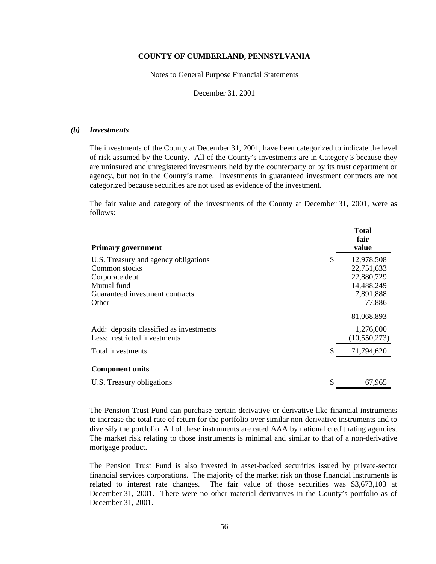## Notes to General Purpose Financial Statements

December 31, 2001

#### *(b) Investments*

The investments of the County at December 31, 2001, have been categorized to indicate the level of risk assumed by the County. All of the County's investments are in Category 3 because they are uninsured and unregistered investments held by the counterparty or by its trust department or agency, but not in the County's name. Investments in guaranteed investment contracts are not categorized because securities are not used as evidence of the investment.

The fair value and category of the investments of the County at December 31, 2001, were as follows:

| <b>Primary government</b>                                                                                                          |    | <b>Total</b><br>fair<br>value                                               |
|------------------------------------------------------------------------------------------------------------------------------------|----|-----------------------------------------------------------------------------|
| U.S. Treasury and agency obligations<br>Common stocks<br>Corporate debt<br>Mutual fund<br>Guaranteed investment contracts<br>Other | \$ | 12,978,508<br>22,751,633<br>22,880,729<br>14,488,249<br>7,891,888<br>77,886 |
|                                                                                                                                    |    | 81,068,893                                                                  |
| Add: deposits classified as investments<br>Less: restricted investments                                                            |    | 1,276,000<br>(10, 550, 273)                                                 |
| Total investments                                                                                                                  | S  | 71,794,620                                                                  |
| <b>Component units</b>                                                                                                             |    |                                                                             |
| U.S. Treasury obligations                                                                                                          | \$ | 67,965                                                                      |

The Pension Trust Fund can purchase certain derivative or derivative-like financial instruments to increase the total rate of return for the portfolio over similar non-derivative instruments and to diversify the portfolio. All of these instruments are rated AAA by national credit rating agencies. The market risk relating to those instruments is minimal and similar to that of a non-derivative mortgage product.

The Pension Trust Fund is also invested in asset-backed securities issued by private-sector financial services corporations. The majority of the market risk on those financial instruments is related to interest rate changes. The fair value of those securities was \$3,673,103 at December 31, 2001. There were no other material derivatives in the County's portfolio as of December 31, 2001.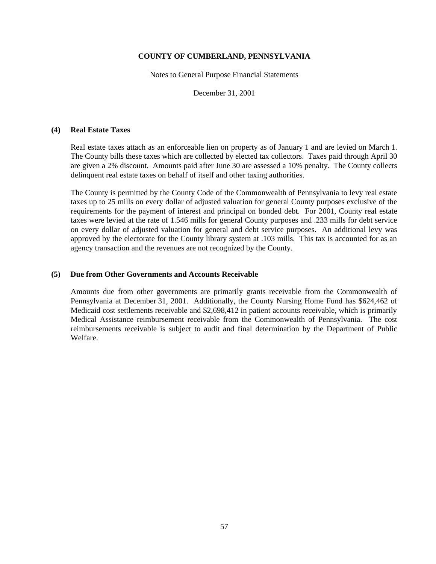Notes to General Purpose Financial Statements

December 31, 2001

## **(4) Real Estate Taxes**

Real estate taxes attach as an enforceable lien on property as of January 1 and are levied on March 1. The County bills these taxes which are collected by elected tax collectors. Taxes paid through April 30 are given a 2% discount. Amounts paid after June 30 are assessed a 10% penalty. The County collects delinquent real estate taxes on behalf of itself and other taxing authorities.

The County is permitted by the County Code of the Commonwealth of Pennsylvania to levy real estate taxes up to 25 mills on every dollar of adjusted valuation for general County purposes exclusive of the requirements for the payment of interest and principal on bonded debt. For 2001, County real estate taxes were levied at the rate of 1.546 mills for general County purposes and .233 mills for debt service on every dollar of adjusted valuation for general and debt service purposes. An additional levy was approved by the electorate for the County library system at .103 mills. This tax is accounted for as an agency transaction and the revenues are not recognized by the County.

## **(5) Due from Other Governments and Accounts Receivable**

Amounts due from other governments are primarily grants receivable from the Commonwealth of Pennsylvania at December 31, 2001. Additionally, the County Nursing Home Fund has \$624,462 of Medicaid cost settlements receivable and \$2,698,412 in patient accounts receivable, which is primarily Medical Assistance reimbursement receivable from the Commonwealth of Pennsylvania. The cost reimbursements receivable is subject to audit and final determination by the Department of Public Welfare.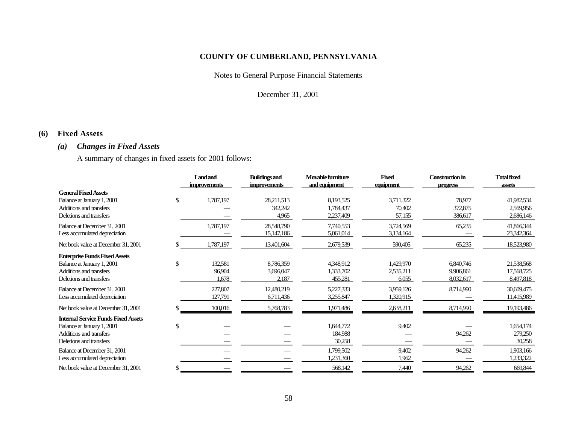Notes to General Purpose Financial Statements

December 31, 2001

# **(6) Fixed Assets**

# *(a) Changes in Fixed Assets*

A summary of changes in fixed assets for 2001 follows:

|                                                                                                                                      | <b>Land</b> and<br><i>improvements</i> | <b>Buildings and</b><br><i>improvements</i> | Movable furniture<br>and equipment  | <b>Fixed</b><br>equipment       | <b>Construction in</b><br>progress  | <b>Total fixed</b><br>assets          |
|--------------------------------------------------------------------------------------------------------------------------------------|----------------------------------------|---------------------------------------------|-------------------------------------|---------------------------------|-------------------------------------|---------------------------------------|
| <b>General Fixed Assets</b><br>Balance at January 1, 2001<br>\$<br>Additions and transfers<br>Deletions and transfers                | 1,787,197                              | 28,211,513<br>342,242<br>4,965              | 8,193,525<br>1,784,437<br>2,237,409 | 3,711,322<br>70,402<br>57,155   | 78,977<br>372,875<br>386,617        | 41,982,534<br>2,569,956<br>2,686,146  |
| Balance at December 31, 2001<br>Less accumulated depreciation                                                                        | 1,787,197                              | 28,548,790<br>15,147,186                    | 7,740,553<br>5,061,014              | 3,724,569<br>3,134,164          | 65,235                              | 41,866,344<br>23,342,364              |
| Net book value at December 31, 2001                                                                                                  | 1,787,197                              | 13,401,604                                  | 2,679,539                           | 590,405                         | 65,235                              | 18,523,980                            |
| <b>Enterprise Funds Fixed Assets</b><br>\$<br>Balance at January 1, 2001<br>Additions and transfers<br>Deletions and transfers       | 132,581<br>96,904<br>1,678             | 8,786,359<br>3,696,047<br>2,187             | 4,348,912<br>1,333,702<br>455,281   | 1,429,970<br>2,535,211<br>6,055 | 6,840,746<br>9,906,861<br>8,032,617 | 21,538,568<br>17,568,725<br>8,497,818 |
| Balance at December 31, 2001<br>Less accumulated depreciation                                                                        | 227,807<br>127,791                     | 12,480,219<br>6,711,436                     | 5,227,333<br>3,255,847              | 3,959,126<br>1,320,915          | 8,714,990                           | 30,609,475<br>11,415,989              |
| Net book value at December 31, 2001                                                                                                  | 100,016                                | 5,768,783                                   | 1,971,486                           | 2,638,211                       | 8,714,990                           | 19,193,486                            |
| <b>Internal Service Funds Fixed Assets</b><br>\$<br>Balance at January 1, 2001<br>Additions and transfers<br>Deletions and transfers |                                        |                                             | 1,644,772<br>184,988<br>30,258      | 9,402                           | 94,262                              | 1,654,174<br>279,250<br>30,258        |
| Balance at December 31, 2001<br>Less accumulated depreciation                                                                        |                                        |                                             | 1,799,502<br>1,231,360              | 9,402<br>1,962                  | 94,262                              | 1,903,166<br>1,233,322                |
| Net book value at December 31, 2001                                                                                                  |                                        |                                             | 568,142                             | 7,440                           | 94,262                              | 669,844                               |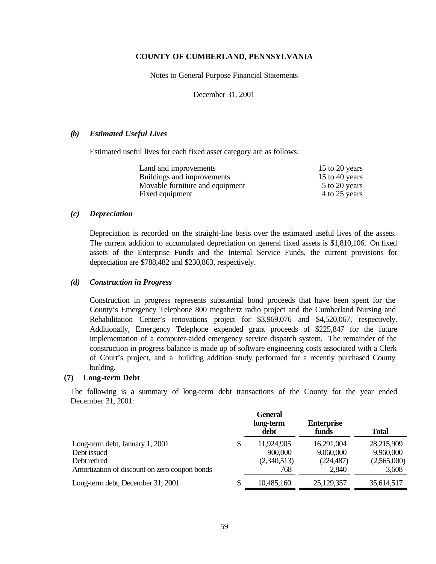Notes to General Purpose Financial Statements

December 31, 2001

# *(b) Estimated Useful Lives*

Estimated useful lives for each fixed asset category are as follows:

| Land and improvements           | 15 to 20 years |
|---------------------------------|----------------|
| Buildings and improvements      | 15 to 40 years |
| Movable furniture and equipment | 5 to 20 years  |
| Fixed equipment                 | 4 to 25 years  |

# *(c) Depreciation*

Depreciation is recorded on the straight-line basis over the estimated useful lives of the assets. The current addition to accumulated depreciation on general fixed assets is \$1,810,106. On fixed assets of the Enterprise Funds and the Internal Service Funds, the current provisions for depreciation are \$788,482 and \$230,863, respectively.

# *(d) Construction in Progress*

Construction in progress represents substantial bond proceeds that have been spent for the County's Emergency Telephone 800 megahertz radio project and the Cumberland Nursing and Rehabilitation Center's renovations project for \$3,969,076 and \$4,520,067, respectively. Additionally, Emergency Telephone expended grant proceeds of \$225,847 for the future implementation of a computer-aided emergency service dispatch system. The remainder of the construction in progress balance is made up of software engineering costs associated with a Clerk of Court's project, and a building addition study performed for a recently purchased County building.

# **(7) Long-term Debt**

The following is a summary of long-term debt transactions of the County for the year ended December 31, 2001:

|                                                                                                                 | <b>General</b><br>long-term<br>debt               | <b>Enterprise</b><br>funds                     | <b>Total</b>                                    |
|-----------------------------------------------------------------------------------------------------------------|---------------------------------------------------|------------------------------------------------|-------------------------------------------------|
| Long-term debt, January 1, 2001<br>Debt issued<br>Debt retired<br>Amortization of discount on zero coupon bonds | \$<br>11,924,905<br>900,000<br>(2,340,513)<br>768 | 16,291,004<br>9,060,000<br>(224, 487)<br>2,840 | 28,215,909<br>9,960,000<br>(2,565,000)<br>3,608 |
| Long-term debt, December 31, 2001                                                                               | 10,485,160                                        | 25,129,357                                     | 35,614,517                                      |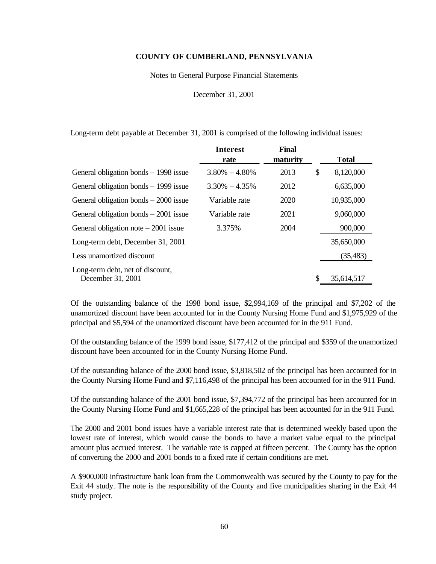Notes to General Purpose Financial Statements

December 31, 2001

Long-term debt payable at December 31, 2001 is comprised of the following individual issues:

|                                                       | <b>Interest</b><br>rate | <b>Final</b><br>maturity | <b>Total</b>    |
|-------------------------------------------------------|-------------------------|--------------------------|-----------------|
| General obligation bonds – 1998 issue                 | $3.80\% - 4.80\%$       | 2013                     | \$<br>8,120,000 |
| General obligation bonds – 1999 issue                 | $3.30\% - 4.35\%$       | 2012                     | 6,635,000       |
| General obligation bonds $-2000$ issue                | Variable rate           | 2020                     | 10,935,000      |
| General obligation bonds $-2001$ issue                | Variable rate           | 2021                     | 9,060,000       |
| General obligation note $-2001$ issue                 | 3.375%                  | 2004                     | 900,000         |
| Long-term debt, December 31, 2001                     |                         |                          | 35,650,000      |
| Less unamortized discount                             |                         |                          | (35, 483)       |
| Long-term debt, net of discount,<br>December 31, 2001 |                         |                          | 35,614,517      |

Of the outstanding balance of the 1998 bond issue, \$2,994,169 of the principal and \$7,202 of the unamortized discount have been accounted for in the County Nursing Home Fund and \$1,975,929 of the principal and \$5,594 of the unamortized discount have been accounted for in the 911 Fund.

Of the outstanding balance of the 1999 bond issue, \$177,412 of the principal and \$359 of the unamortized discount have been accounted for in the County Nursing Home Fund.

Of the outstanding balance of the 2000 bond issue, \$3,818,502 of the principal has been accounted for in the County Nursing Home Fund and \$7,116,498 of the principal has been accounted for in the 911 Fund.

Of the outstanding balance of the 2001 bond issue, \$7,394,772 of the principal has been accounted for in the County Nursing Home Fund and \$1,665,228 of the principal has been accounted for in the 911 Fund.

The 2000 and 2001 bond issues have a variable interest rate that is determined weekly based upon the lowest rate of interest, which would cause the bonds to have a market value equal to the principal amount plus accrued interest. The variable rate is capped at fifteen percent. The County has the option of converting the 2000 and 2001 bonds to a fixed rate if certain conditions are met.

A \$900,000 infrastructure bank loan from the Commonwealth was secured by the County to pay for the Exit 44 study. The note is the responsibility of the County and five municipalities sharing in the Exit 44 study project.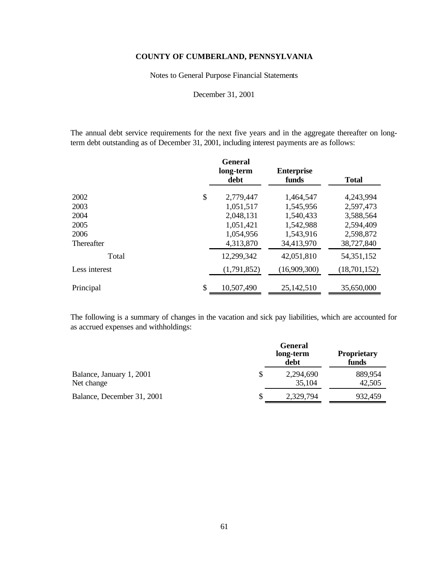Notes to General Purpose Financial Statements

December 31, 2001

The annual debt service requirements for the next five years and in the aggregate thereafter on longterm debt outstanding as of December 31, 2001, including interest payments are as follows:

|               | <b>General</b><br>long-term<br>debt | <b>Enterprise</b><br>funds | <b>Total</b> |
|---------------|-------------------------------------|----------------------------|--------------|
| 2002          | \$<br>2,779,447                     | 1,464,547                  | 4,243,994    |
| 2003          | 1,051,517                           | 1,545,956                  | 2,597,473    |
| 2004          | 2,048,131                           | 1,540,433                  | 3,588,564    |
| 2005          | 1,051,421                           | 1,542,988                  | 2,594,409    |
| 2006          | 1,054,956                           | 1,543,916                  | 2,598,872    |
| Thereafter    | 4,313,870                           | 34,413,970                 | 38,727,840   |
| Total         | 12,299,342                          | 42,051,810                 | 54, 351, 152 |
| Less interest | (1,791,852)                         | (16,909,300)               | (18,701,152) |
| Principal     | \$<br>10,507,490                    | 25,142,510                 | 35,650,000   |

The following is a summary of changes in the vacation and sick pay liabilities, which are accounted for as accrued expenses and withholdings:

|                                        |   | <b>General</b><br>long-term<br>debt | <b>Proprietary</b><br>funds |
|----------------------------------------|---|-------------------------------------|-----------------------------|
| Balance, January 1, 2001<br>Net change | S | 2,294,690<br>35,104                 | 889,954<br>42,505           |
| Balance, December 31, 2001             |   | 2,329,794                           | 932,459                     |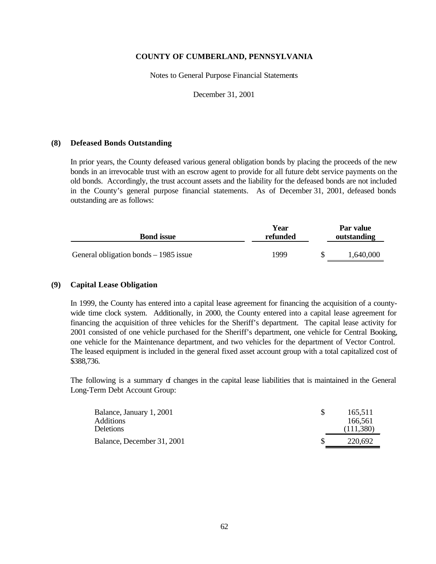Notes to General Purpose Financial Statements

December 31, 2001

## **(8) Defeased Bonds Outstanding**

In prior years, the County defeased various general obligation bonds by placing the proceeds of the new bonds in an irrevocable trust with an escrow agent to provide for all future debt service payments on the old bonds. Accordingly, the trust account assets and the liability for the defeased bonds are not included in the County's general purpose financial statements. As of December 31, 2001, defeased bonds outstanding are as follows:

| <b>Bond</b> issue                     | Year<br>refunded | Par value<br>outstanding |
|---------------------------------------|------------------|--------------------------|
| General obligation bonds – 1985 issue | 1999             | 1,640,000                |

## **(9) Capital Lease Obligation**

In 1999, the County has entered into a capital lease agreement for financing the acquisition of a countywide time clock system. Additionally, in 2000, the County entered into a capital lease agreement for financing the acquisition of three vehicles for the Sheriff's department. The capital lease activity for 2001 consisted of one vehicle purchased for the Sheriff's department, one vehicle for Central Booking, one vehicle for the Maintenance department, and two vehicles for the department of Vector Control. The leased equipment is included in the general fixed asset account group with a total capitalized cost of \$388,736.

The following is a summary of changes in the capital lease liabilities that is maintained in the General Long-Term Debt Account Group:

| Balance, January 1, 2001   | 165.511   |
|----------------------------|-----------|
| Additions                  | 166.561   |
| <b>Deletions</b>           | (111.380) |
| Balance, December 31, 2001 | 220,692   |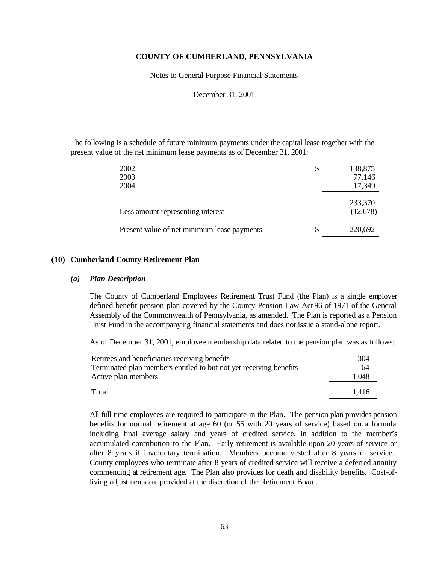Notes to General Purpose Financial Statements

December 31, 2001

The following is a schedule of future minimum payments under the capital lease together with the present value of the net minimum lease payments as of December 31, 2001:

| 2002<br>2003<br>2004                        | \$ | 138,875<br>77,146<br>17,349 |
|---------------------------------------------|----|-----------------------------|
| Less amount representing interest           |    | 233,370<br>(12,678)         |
| Present value of net minimum lease payments | S  | 220,692                     |

#### **(10) Cumberland County Retirement Plan**

#### *(a) Plan Description*

The County of Cumberland Employees Retirement Trust Fund (the Plan) is a single employer defined benefit pension plan covered by the County Pension Law Act 96 of 1971 of the General Assembly of the Commonwealth of Pennsylvania, as amended. The Plan is reported as a Pension Trust Fund in the accompanying financial statements and does not issue a stand-alone report.

As of December 31, 2001, employee membership data related to the pension plan was as follows:

| Retirees and beneficiaries receiving benefits                      | 304   |
|--------------------------------------------------------------------|-------|
| Terminated plan members entitled to but not yet receiving benefits | 64    |
| Active plan members                                                | 1,048 |
| Total                                                              | 1.416 |

All full-time employees are required to participate in the Plan. The pension plan provides pension benefits for normal retirement at age 60 (or 55 with 20 years of service) based on a formula including final average salary and years of credited service, in addition to the member's accumulated contribution to the Plan. Early retirement is available upon 20 years of service or after 8 years if involuntary termination. Members become vested after 8 years of service. County employees who terminate after 8 years of credited service will receive a deferred annuity commencing at retirement age. The Plan also provides for death and disability benefits. Cost-ofliving adjustments are provided at the discretion of the Retirement Board.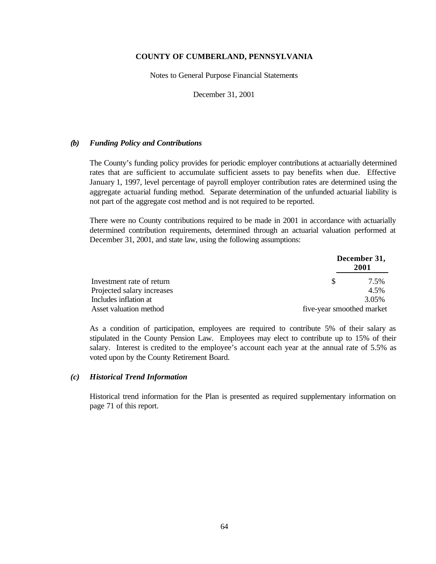Notes to General Purpose Financial Statements

December 31, 2001

#### *(b) Funding Policy and Contributions*

The County's funding policy provides for periodic employer contributions at actuarially determined rates that are sufficient to accumulate sufficient assets to pay benefits when due. Effective January 1, 1997, level percentage of payroll employer contribution rates are determined using the aggregate actuarial funding method. Separate determination of the unfunded actuarial liability is not part of the aggregate cost method and is not required to be reported.

There were no County contributions required to be made in 2001 in accordance with actuarially determined contribution requirements, determined through an actuarial valuation performed at December 31, 2001, and state law, using the following assumptions:

|                            | December 31,<br>2001      |
|----------------------------|---------------------------|
| Investment rate of return  | -S<br>7.5%                |
| Projected salary increases | 4.5%                      |
| Includes inflation at      | 3.05%                     |
| Asset valuation method     | five-year smoothed market |

As a condition of participation, employees are required to contribute 5% of their salary as stipulated in the County Pension Law. Employees may elect to contribute up to 15% of their salary. Interest is credited to the employee's account each year at the annual rate of 5.5% as voted upon by the County Retirement Board.

#### *(c) Historical Trend Information*

Historical trend information for the Plan is presented as required supplementary information on page 71 of this report.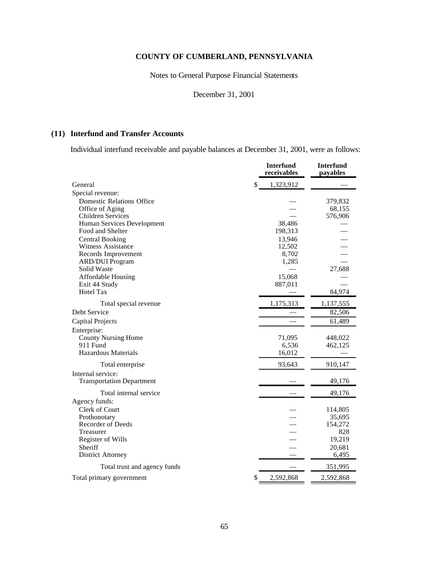Notes to General Purpose Financial Statements

December 31, 2001

# **(11) Interfund and Transfer Accounts**

Individual interfund receivable and payable balances at December 31, 2001, were as follows:

|                                  | <b>Interfund</b><br>receivables | <b>Interfund</b><br>payables |
|----------------------------------|---------------------------------|------------------------------|
| General                          | 1,323,912<br>\$                 |                              |
| Special revenue:                 |                                 |                              |
| <b>Domestic Relations Office</b> |                                 | 379,832                      |
| Office of Aging                  |                                 | 68,155                       |
| <b>Children Services</b>         |                                 | 576,906                      |
| Human Services Development       | 38,486                          |                              |
| Food and Shelter                 | 198,313                         |                              |
| <b>Central Booking</b>           | 13,946                          |                              |
| Witness Assistance               | 12,502                          |                              |
| Records Improvement              | 8,702                           |                              |
| <b>ARD/DUI Program</b>           | 1,285                           |                              |
| Solid Waste                      |                                 | 27,688                       |
| <b>Affordable Housing</b>        | 15,068                          |                              |
| Exit 44 Study                    | 887,011                         |                              |
| <b>Hotel Tax</b>                 |                                 | 84,974                       |
| Total special revenue            | 1,175,313                       | 1,137,555                    |
| Debt Service                     |                                 | 82,506                       |
| Capital Projects                 |                                 | 61,489                       |
| Enterprise:                      |                                 |                              |
| <b>County Nursing Home</b>       | 71,095                          | 448,022                      |
| 911 Fund                         | 6,536                           | 462,125                      |
| <b>Hazardous Materials</b>       | 16,012                          |                              |
| Total enterprise                 | 93,643                          | 910,147                      |
| Internal service:                |                                 |                              |
| <b>Transportation Department</b> |                                 | 49,176                       |
| Total internal service           |                                 | 49,176                       |
| Agency funds:                    |                                 |                              |
| Clerk of Court                   |                                 | 114,805                      |
| Prothonotary                     |                                 | 35,695                       |
| <b>Recorder of Deeds</b>         |                                 | 154,272                      |
| Treasurer                        |                                 | 828                          |
| Register of Wills                |                                 | 19,219                       |
| Sheriff                          |                                 | 20,681                       |
| <b>District Attorney</b>         |                                 | 6,495                        |
| Total trust and agency funds     |                                 | 351,995                      |
| Total primary government         | \$<br>2,592,868                 | 2,592,868                    |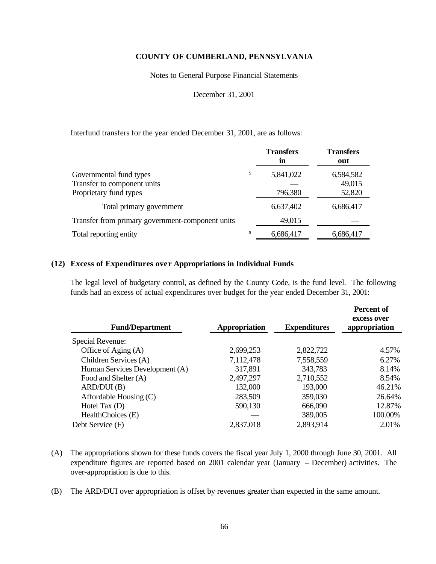Notes to General Purpose Financial Statements

December 31, 2001

Interfund transfers for the year ended December 31, 2001, are as follows:

|                                                  | <b>Transfers</b><br>in | <b>Transfers</b><br>out |
|--------------------------------------------------|------------------------|-------------------------|
| Governmental fund types                          | \$<br>5,841,022        | 6,584,582               |
| Transfer to component units                      |                        | 49,015                  |
| Proprietary fund types                           | 796,380                | 52,820                  |
| Total primary government                         | 6,637,402              | 6,686,417               |
| Transfer from primary government-component units | 49,015                 |                         |
| Total reporting entity                           | \$<br>6,686,417        | 6,686,417               |

# **(12) Excess of Expenditures over Appropriations in Individual Funds**

The legal level of budgetary control, as defined by the County Code, is the fund level. The following funds had an excess of actual expenditures over budget for the year ended December 31, 2001:

| <b>Fund/Department</b>         | <b>Appropriation</b> | <b>Expenditures</b> | <b>Percent of</b><br>excess over<br>appropriation |
|--------------------------------|----------------------|---------------------|---------------------------------------------------|
| Special Revenue:               |                      |                     |                                                   |
| Office of Aging (A)            | 2,699,253            | 2,822,722           | 4.57%                                             |
| Children Services (A)          | 7,112,478            | 7,558,559           | 6.27%                                             |
| Human Services Development (A) | 317,891              | 343,783             | 8.14%                                             |
| Food and Shelter (A)           | 2,497,297            | 2,710,552           | 8.54%                                             |
| ARD/DUI(B)                     | 132,000              | 193,000             | 46.21%                                            |
| Affordable Housing $(C)$       | 283,509              | 359,030             | 26.64%                                            |
| Hotel Tax $(D)$                | 590,130              | 666,090             | 12.87%                                            |
| HealthChoices (E)              |                      | 389,005             | 100.00%                                           |
| Debt Service (F)               | 2,837,018            | 2,893,914           | 2.01%                                             |

- (A) The appropriations shown for these funds covers the fiscal year July 1, 2000 through June 30, 2001. All expenditure figures are reported based on 2001 calendar year (January – December) activities. The over-appropriation is due to this.
- (B) The ARD/DUI over appropriation is offset by revenues greater than expected in the same amount.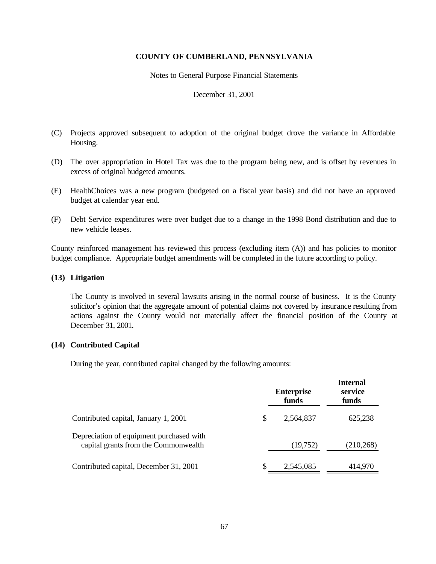Notes to General Purpose Financial Statements

## December 31, 2001

- (C) Projects approved subsequent to adoption of the original budget drove the variance in Affordable Housing.
- (D) The over appropriation in Hotel Tax was due to the program being new, and is offset by revenues in excess of original budgeted amounts.
- (E) HealthChoices was a new program (budgeted on a fiscal year basis) and did not have an approved budget at calendar year end.
- (F) Debt Service expenditures were over budget due to a change in the 1998 Bond distribution and due to new vehicle leases.

County reinforced management has reviewed this process (excluding item (A)) and has policies to monitor budget compliance. Appropriate budget amendments will be completed in the future according to policy.

# **(13) Litigation**

The County is involved in several lawsuits arising in the normal course of business. It is the County solicitor's opinion that the aggregate amount of potential claims not covered by insurance resulting from actions against the County would not materially affect the financial position of the County at December 31, 2001.

# **(14) Contributed Capital**

During the year, contributed capital changed by the following amounts:

|                                                                                  |    | <b>Enterprise</b><br>funds | <b>Internal</b><br>service<br>funds |
|----------------------------------------------------------------------------------|----|----------------------------|-------------------------------------|
| Contributed capital, January 1, 2001                                             | \$ | 2,564,837                  | 625,238                             |
| Depreciation of equipment purchased with<br>capital grants from the Commonwealth |    | (19,752)                   | (210, 268)                          |
| Contributed capital, December 31, 2001                                           | S  | 2,545,085                  | 414,970                             |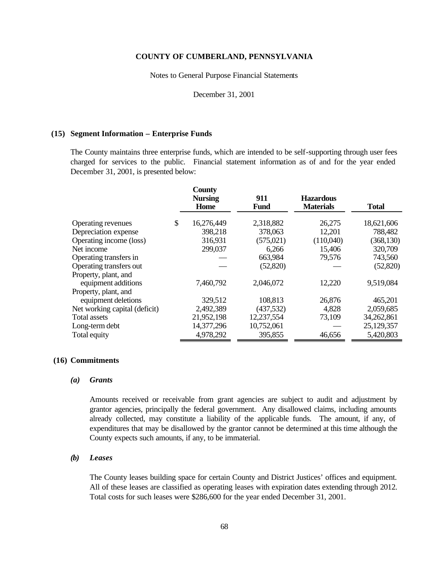Notes to General Purpose Financial Statements

December 31, 2001

#### **(15) Segment Information – Enterprise Funds**

The County maintains three enterprise funds, which are intended to be self-supporting through user fees charged for services to the public. Financial statement information as of and for the year ended December 31, 2001, is presented below:

|                               | <b>County</b><br><b>Nursing</b> | 911         | <b>Hazardous</b> |              |
|-------------------------------|---------------------------------|-------------|------------------|--------------|
|                               | Home                            | <b>Fund</b> | <b>Materials</b> | <b>Total</b> |
| Operating revenues            | \$<br>16,276,449                | 2,318,882   | 26,275           | 18,621,606   |
| Depreciation expense          | 398,218                         | 378,063     | 12,201           | 788,482      |
| Operating income (loss)       | 316,931                         | (575, 021)  | (110,040)        | (368, 130)   |
| Net income                    | 299,037                         | 6,266       | 15,406           | 320,709      |
| Operating transfers in        |                                 | 663,984     | 79,576           | 743,560      |
| Operating transfers out       |                                 | (52, 820)   |                  | (52, 820)    |
| Property, plant, and          |                                 |             |                  |              |
| equipment additions           | 7,460,792                       | 2,046,072   | 12,220           | 9,519,084    |
| Property, plant, and          |                                 |             |                  |              |
| equipment deletions           | 329,512                         | 108,813     | 26,876           | 465,201      |
| Net working capital (deficit) | 2,492,389                       | (437,532)   | 4,828            | 2,059,685    |
| <b>Total assets</b>           | 21,952,198                      | 12,237,554  | 73,109           | 34,262,861   |
| Long-term debt                | 14,377,296                      | 10,752,061  |                  | 25,129,357   |
| Total equity                  | 4,978,292                       | 395,855     | 46,656           | 5,420,803    |

## **(16) Commitments**

#### *(a) Grants*

Amounts received or receivable from grant agencies are subject to audit and adjustment by grantor agencies, principally the federal government. Any disallowed claims, including amounts already collected, may constitute a liability of the applicable funds. The amount, if any, of expenditures that may be disallowed by the grantor cannot be determined at this time although the County expects such amounts, if any, to be immaterial.

## *(b) Leases*

The County leases building space for certain County and District Justices' offices and equipment. All of these leases are classified as operating leases with expiration dates extending through 2012. Total costs for such leases were \$286,600 for the year ended December 31, 2001.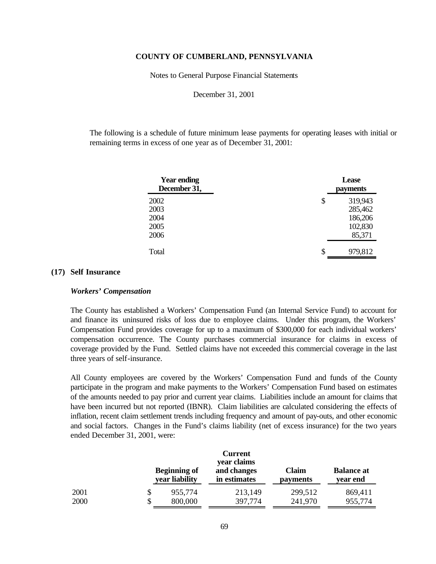Notes to General Purpose Financial Statements

December 31, 2001

The following is a schedule of future minimum lease payments for operating leases with initial or remaining terms in excess of one year as of December 31, 2001:

| <b>Year ending</b><br>December 31, | Lease<br>payments |
|------------------------------------|-------------------|
| 2002                               | \$<br>319,943     |
| 2003                               | 285,462           |
| 2004                               | 186,206           |
| 2005                               | 102,830           |
| 2006                               | 85,371            |
| Total                              | \$<br>979,812     |

# **(17) Self Insurance**

#### *Workers' Compensation*

The County has established a Workers' Compensation Fund (an Internal Service Fund) to account for and finance its uninsured risks of loss due to employee claims. Under this program, the Workers' Compensation Fund provides coverage for up to a maximum of \$300,000 for each individual workers' compensation occurrence. The County purchases commercial insurance for claims in excess of coverage provided by the Fund. Settled claims have not exceeded this commercial coverage in the last three years of self-insurance.

All County employees are covered by the Workers' Compensation Fund and funds of the County participate in the program and make payments to the Workers' Compensation Fund based on estimates of the amounts needed to pay prior and current year claims. Liabilities include an amount for claims that have been incurred but not reported (IBNR). Claim liabilities are calculated considering the effects of inflation, recent claim settlement trends including frequency and amount of pay-outs, and other economic and social factors. Changes in the Fund's claims liability (net of excess insurance) for the two years ended December 31, 2001, were:

|      | <b>Beginning of</b><br>year liability | <b>Current</b><br>year claims<br>and changes<br>in estimates | <b>Claim</b><br>payments | <b>Balance at</b><br>year end |
|------|---------------------------------------|--------------------------------------------------------------|--------------------------|-------------------------------|
| 2001 | \$<br>955,774                         | 213,149                                                      | 299,512                  | 869,411                       |
| 2000 | \$<br>800,000                         | 397,774                                                      | 241,970                  | 955,774                       |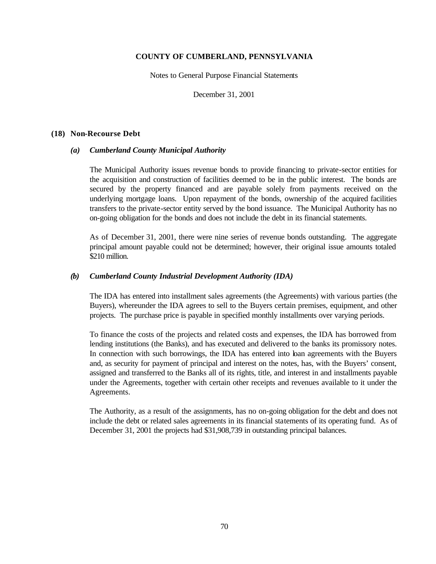Notes to General Purpose Financial Statements

December 31, 2001

## **(18) Non-Recourse Debt**

## *(a) Cumberland County Municipal Authority*

The Municipal Authority issues revenue bonds to provide financing to private-sector entities for the acquisition and construction of facilities deemed to be in the public interest. The bonds are secured by the property financed and are payable solely from payments received on the underlying mortgage loans. Upon repayment of the bonds, ownership of the acquired facilities transfers to the private-sector entity served by the bond issuance. The Municipal Authority has no on-going obligation for the bonds and does not include the debt in its financial statements.

As of December 31, 2001, there were nine series of revenue bonds outstanding. The aggregate principal amount payable could not be determined; however, their original issue amounts totaled \$210 million.

## *(b) Cumberland County Industrial Development Authority (IDA)*

The IDA has entered into installment sales agreements (the Agreements) with various parties (the Buyers), whereunder the IDA agrees to sell to the Buyers certain premises, equipment, and other projects. The purchase price is payable in specified monthly installments over varying periods.

To finance the costs of the projects and related costs and expenses, the IDA has borrowed from lending institutions (the Banks), and has executed and delivered to the banks its promissory notes. In connection with such borrowings, the IDA has entered into loan agreements with the Buyers and, as security for payment of principal and interest on the notes, has, with the Buyers' consent, assigned and transferred to the Banks all of its rights, title, and interest in and installments payable under the Agreements, together with certain other receipts and revenues available to it under the Agreements.

The Authority, as a result of the assignments, has no on-going obligation for the debt and does not include the debt or related sales agreements in its financial statements of its operating fund. As of December 31, 2001 the projects had \$31,908,739 in outstanding principal balances.